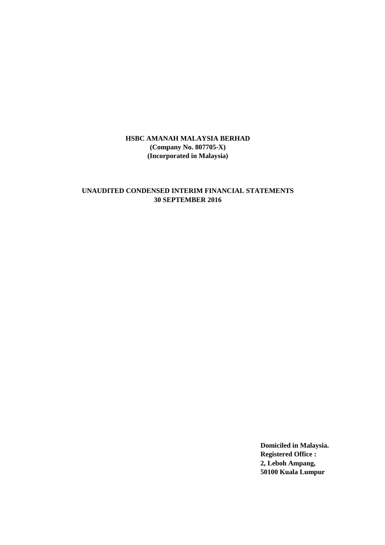### **UNAUDITED CONDENSED INTERIM FINANCIAL STATEMENTS 30 SEPTEMBER 2016**

**Domiciled in Malaysia. Registered Office : 2, Leboh Ampang, 50100 Kuala Lumpur**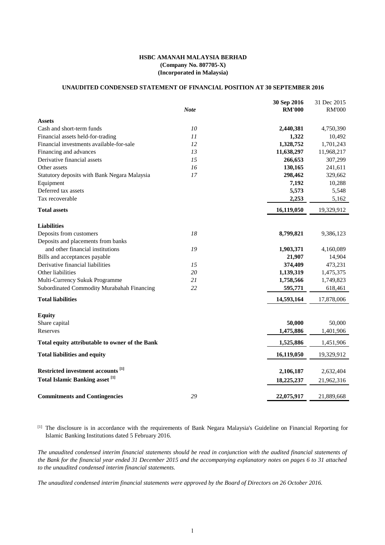#### **UNAUDITED CONDENSED STATEMENT OF FINANCIAL POSITION AT 30 SEPTEMBER 2016**

|                                                   |             | 30 Sep 2016   | 31 Dec 2015   |
|---------------------------------------------------|-------------|---------------|---------------|
|                                                   | <b>Note</b> | <b>RM'000</b> | <b>RM'000</b> |
| <b>Assets</b>                                     |             |               |               |
| Cash and short-term funds                         | 10          | 2,440,381     | 4,750,390     |
| Financial assets held-for-trading                 | 11          | 1,322         | 10,492        |
| Financial investments available-for-sale          | 12          | 1,328,752     | 1,701,243     |
| Financing and advances                            | 13          | 11,638,297    | 11,968,217    |
| Derivative financial assets                       | 15          | 266,653       | 307,299       |
| Other assets                                      | 16          | 130,165       | 241,611       |
| Statutory deposits with Bank Negara Malaysia      | 17          | 298,462       | 329,662       |
| Equipment                                         |             | 7,192         | 10,288        |
| Deferred tax assets                               |             | 5,573         | 5,548         |
| Tax recoverable                                   |             | 2,253         | 5,162         |
| <b>Total assets</b>                               |             | 16,119,050    | 19,329,912    |
| <b>Liabilities</b>                                |             |               |               |
| Deposits from customers                           | 18          | 8,799,821     | 9,386,123     |
| Deposits and placements from banks                |             |               |               |
| and other financial institutions                  | 19          | 1,903,371     | 4,160,089     |
| Bills and acceptances payable                     |             | 21,907        | 14,904        |
| Derivative financial liabilities                  | 15          | 374,409       | 473,231       |
| Other liabilities                                 | 20          | 1,139,319     | 1,475,375     |
| Multi-Currency Sukuk Programme                    | 21          | 1,758,566     | 1,749,823     |
| Subordinated Commodity Murabahah Financing        | 22          | 595,771       | 618,461       |
| <b>Total liabilities</b>                          |             | 14,593,164    | 17,878,006    |
| <b>Equity</b>                                     |             |               |               |
| Share capital                                     |             | 50,000        | 50,000        |
| Reserves                                          |             | 1,475,886     | 1,401,906     |
|                                                   |             |               |               |
| Total equity attributable to owner of the Bank    |             | 1,525,886     | 1,451,906     |
| <b>Total liabilities and equity</b>               |             | 16,119,050    | 19,329,912    |
| Restricted investment accounts <sup>[1]</sup>     |             | 2,106,187     | 2,632,404     |
| <b>Total Islamic Banking asset</b> <sup>[1]</sup> |             | 18,225,237    | 21,962,316    |
|                                                   |             |               |               |
| <b>Commitments and Contingencies</b>              | 29          | 22,075,917    | 21,889,668    |

[1] The disclosure is in accordance with the requirements of Bank Negara Malaysia's Guideline on Financial Reporting for Islamic Banking Institutions dated 5 February 2016.

The unaudited condensed interim financial statements should be read in conjunction with the audited financial statements of the Bank for the financial year ended 31 December 2015 and the accompanying explanatory notes on pages 6 to 31 attached *to the unaudited condensed interim financial statements.*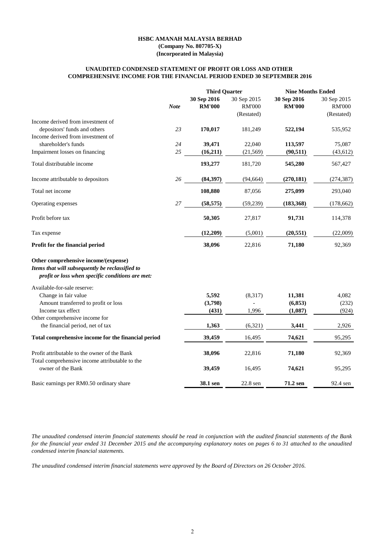#### **HSBC AMANAH MALAYSIA BERHAD**

**(Company No. 807705-X) (Incorporated in Malaysia)**

### **COMPREHENSIVE INCOME FOR THE FINANCIAL PERIOD ENDED 30 SEPTEMBER 2016 UNAUDITED CONDENSED STATEMENT OF PROFIT OR LOSS AND OTHER**

|                                                                                                                                             |             | <b>Third Quarter</b>         |                                            | <b>Nine Months Ended</b>     |                                            |  |
|---------------------------------------------------------------------------------------------------------------------------------------------|-------------|------------------------------|--------------------------------------------|------------------------------|--------------------------------------------|--|
|                                                                                                                                             | <b>Note</b> | 30 Sep 2016<br><b>RM'000</b> | 30 Sep 2015<br><b>RM'000</b><br>(Restated) | 30 Sep 2016<br><b>RM'000</b> | 30 Sep 2015<br><b>RM'000</b><br>(Restated) |  |
| Income derived from investment of                                                                                                           |             |                              |                                            |                              |                                            |  |
| depositors' funds and others                                                                                                                | 23          | 170,017                      | 181,249                                    | 522,194                      | 535,952                                    |  |
| Income derived from investment of                                                                                                           |             |                              |                                            |                              |                                            |  |
| shareholder's funds                                                                                                                         | 24          | 39,471                       | 22,040                                     | 113,597                      | 75,087                                     |  |
| Impairment losses on financing                                                                                                              | 25          | (16,211)                     | (21, 569)                                  | (90, 511)                    | (43, 612)                                  |  |
| Total distributable income                                                                                                                  |             | 193,277                      | 181,720                                    | 545,280                      | 567,427                                    |  |
| Income attributable to depositors                                                                                                           | 26          | (84, 397)                    | (94, 664)                                  | (270, 181)                   | (274, 387)                                 |  |
| Total net income                                                                                                                            |             | 108,880                      | 87,056                                     | 275,099                      | 293,040                                    |  |
| Operating expenses                                                                                                                          | 27          | (58, 575)                    | (59,239)                                   | (183, 368)                   | (178, 662)                                 |  |
| Profit before tax                                                                                                                           |             | 50,305                       | 27,817                                     | 91,731                       | 114,378                                    |  |
| Tax expense                                                                                                                                 |             | (12,209)                     | (5,001)                                    | (20, 551)                    | (22,009)                                   |  |
| Profit for the financial period                                                                                                             |             | 38,096                       | 22,816                                     | 71,180                       | 92,369                                     |  |
| Other comprehensive income/(expense)<br>Items that will subsequently be reclassified to<br>profit or loss when specific conditions are met: |             |                              |                                            |                              |                                            |  |
| Available-for-sale reserve:                                                                                                                 |             |                              |                                            |                              |                                            |  |
| Change in fair value                                                                                                                        |             | 5,592                        | (8,317)                                    | 11,381                       | 4,082                                      |  |
| Amount transferred to profit or loss                                                                                                        |             | (3,798)                      |                                            | (6, 853)                     | (232)                                      |  |
| Income tax effect                                                                                                                           |             | (431)                        | 1,996                                      | (1,087)                      | (924)                                      |  |
| Other comprehensive income for                                                                                                              |             |                              |                                            |                              |                                            |  |
| the financial period, net of tax                                                                                                            |             | 1,363                        | (6,321)                                    | 3,441                        | 2,926                                      |  |
| Total comprehensive income for the financial period                                                                                         |             | 39,459                       | 16,495                                     | 74,621                       | 95,295                                     |  |
| Profit attributable to the owner of the Bank                                                                                                |             | 38,096                       | 22,816                                     | 71,180                       | 92,369                                     |  |
| Total comprehensive income attributable to the<br>owner of the Bank                                                                         |             | 39,459                       | 16,495                                     | 74,621                       | 95,295                                     |  |
| Basic earnings per RM0.50 ordinary share                                                                                                    |             | 38.1 sen                     | 22.8 sen                                   | 71.2 sen                     | 92.4 sen                                   |  |

The unaudited condensed interim financial statements should be read in conjunction with the audited financial statements of the Bank for the financial year ended 31 December 2015 and the accompanying explanatory notes on pages 6 to 31 attached to the unaudited *condensed interim financial statements.*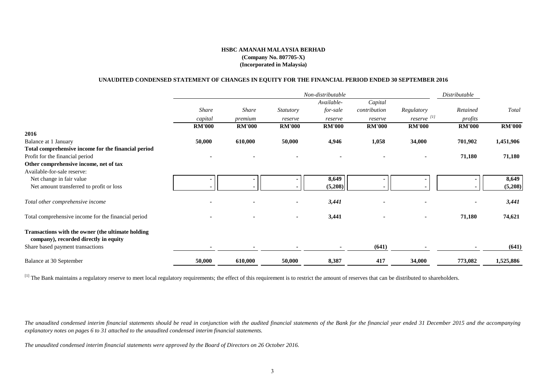### **UNAUDITED CONDENSED STATEMENT OF CHANGES IN EQUITY FOR THE FINANCIAL PERIOD ENDED 30 SEPTEMBER 2016**

|                                                                                            |                |               |                  | Non-distributable |               |                        | Distributable |               |
|--------------------------------------------------------------------------------------------|----------------|---------------|------------------|-------------------|---------------|------------------------|---------------|---------------|
|                                                                                            |                |               |                  | Available-        | Capital       |                        |               |               |
|                                                                                            | Share          | <b>Share</b>  | <b>Statutory</b> | for-sale          | contribution  | Regulatory             | Retained      | Total         |
|                                                                                            | capital        | premium       | reserve          | reserve           | reserve       | reserve <sup>[1]</sup> | profits       |               |
|                                                                                            | <b>RM'000</b>  | <b>RM'000</b> | <b>RM'000</b>    | <b>RM'000</b>     | <b>RM'000</b> | <b>RM'000</b>          | <b>RM'000</b> | <b>RM'000</b> |
| 2016                                                                                       |                |               |                  |                   |               |                        |               |               |
| Balance at 1 January                                                                       | 50,000         | 610,000       | 50,000           | 4,946             | 1,058         | 34,000                 | 701,902       | 1,451,906     |
| Total comprehensive income for the financial period                                        |                |               |                  |                   |               |                        |               |               |
| Profit for the financial period                                                            |                |               |                  |                   |               |                        | 71,180        | 71,180        |
| Other comprehensive income, net of tax                                                     |                |               |                  |                   |               |                        |               |               |
| Available-for-sale reserve:                                                                |                |               |                  |                   |               |                        |               |               |
| Net change in fair value                                                                   | $\blacksquare$ |               |                  | 8,649             |               |                        |               | 8,649         |
| Net amount transferred to profit or loss                                                   |                |               |                  | (5,208)           |               |                        |               | (5,208)       |
| Total other comprehensive income                                                           |                |               |                  | 3,441             |               |                        |               | 3,441         |
| Total comprehensive income for the financial period                                        |                |               |                  | 3,441             |               |                        | 71,180        | 74,621        |
| Transactions with the owner (the ultimate holding<br>company), recorded directly in equity |                |               |                  |                   |               |                        |               |               |
| Share based payment transactions                                                           |                |               |                  |                   | (641)         |                        |               | (641)         |
| Balance at 30 September                                                                    | 50,000         | 610,000       | 50,000           | 8,387             | 417           | 34,000                 | 773,082       | 1,525,886     |

<sup>[1]</sup> The Bank maintains a regulatory reserve to meet local regulatory requirements; the effect of this requirement is to restrict the amount of reserves that can be distributed to shareholders.

The unaudited condensed interim financial statements should be read in conjunction with the audited financial statements of the Bank for the financial year ended 31 December 2015 and the accompanying *explanatory notes on pages 6 to 31 attached to the unaudited condensed interim financial statements.*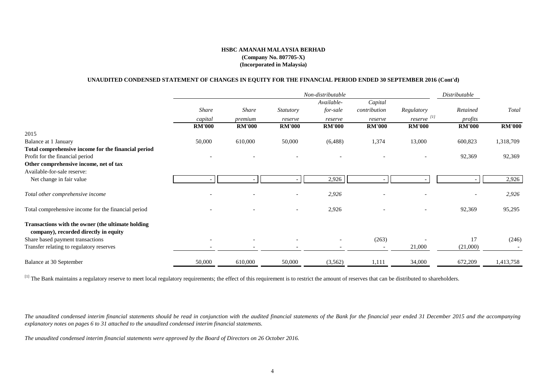### **UNAUDITED CONDENSED STATEMENT OF CHANGES IN EQUITY FOR THE FINANCIAL PERIOD ENDED 30 SEPTEMBER 2016 (Cont'd)**

|                                                                                            |               |               |                  | Non-distributable |               |                          | Distributable |               |
|--------------------------------------------------------------------------------------------|---------------|---------------|------------------|-------------------|---------------|--------------------------|---------------|---------------|
|                                                                                            |               |               |                  | Available-        | Capital       |                          |               |               |
|                                                                                            | Share         | <b>Share</b>  | <b>Statutory</b> | for-sale          | contribution  | Regulatory               | Retained      | Total         |
|                                                                                            | capital       | premium       | reserve          | reserve           | reserve       | reserve <sup>[1]</sup>   | profits       |               |
|                                                                                            | <b>RM'000</b> | <b>RM'000</b> | <b>RM'000</b>    | <b>RM'000</b>     | <b>RM'000</b> | <b>RM'000</b>            | <b>RM'000</b> | <b>RM'000</b> |
| 2015                                                                                       |               |               |                  |                   |               |                          |               |               |
| Balance at 1 January                                                                       | 50,000        | 610,000       | 50,000           | (6,488)           | 1,374         | 13,000                   | 600,823       | 1,318,709     |
| Total comprehensive income for the financial period                                        |               |               |                  |                   |               |                          |               |               |
| Profit for the financial period                                                            |               |               |                  |                   |               |                          | 92,369        | 92,369        |
| Other comprehensive income, net of tax                                                     |               |               |                  |                   |               |                          |               |               |
| Available-for-sale reserve:                                                                |               |               |                  |                   |               |                          |               |               |
| Net change in fair value                                                                   |               |               |                  | 2,926             |               |                          |               | 2,926         |
| Total other comprehensive income                                                           |               |               |                  | 2,926             |               |                          |               | 2,926         |
| Total comprehensive income for the financial period                                        |               |               |                  | 2,926             |               | $\overline{\phantom{a}}$ | 92,369        | 95,295        |
| Transactions with the owner (the ultimate holding<br>company), recorded directly in equity |               |               |                  |                   |               |                          |               |               |
| Share based payment transactions                                                           |               |               |                  |                   | (263)         |                          | 17            | (246)         |
| Transfer relating to regulatory reserves                                                   |               |               |                  |                   |               | 21,000                   | (21,000)      |               |
| <b>Balance at 30 September</b>                                                             | 50,000        | 610,000       | 50,000           | (3,562)           | 1,111         | 34,000                   | 672,209       | 1,413,758     |

<sup>[1]</sup> The Bank maintains a regulatory reserve to meet local regulatory requirements; the effect of this requirement is to restrict the amount of reserves that can be distributed to shareholders.

The unaudited condensed interim financial statements should be read in conjunction with the audited financial statements of the Bank for the financial year ended 31 December 2015 and the accompanying *explanatory notes on pages 6 to 31 attached to the unaudited condensed interim financial statements.*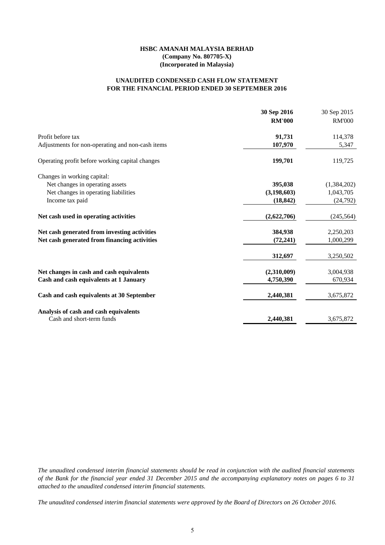### **FOR THE FINANCIAL PERIOD ENDED 30 SEPTEMBER 2016 UNAUDITED CONDENSED CASH FLOW STATEMENT**

|                                                  | 30 Sep 2016<br><b>RM'000</b> | 30 Sep 2015<br><b>RM'000</b> |
|--------------------------------------------------|------------------------------|------------------------------|
| Profit before tax                                | 91,731                       | 114,378                      |
| Adjustments for non-operating and non-cash items | 107,970                      | 5,347                        |
| Operating profit before working capital changes  | 199,701                      | 119,725                      |
| Changes in working capital:                      |                              |                              |
| Net changes in operating assets                  | 395,038                      | (1,384,202)                  |
| Net changes in operating liabilities             | (3,198,603)                  | 1,043,705                    |
| Income tax paid                                  | (18, 842)                    | (24, 792)                    |
| Net cash used in operating activities            | (2,622,706)                  | (245, 564)                   |
| Net cash generated from investing activities     | 384,938                      | 2,250,203                    |
| Net cash generated from financing activities     | (72, 241)                    | 1,000,299                    |
|                                                  | 312,697                      | 3,250,502                    |
| Net changes in cash and cash equivalents         | (2,310,009)                  | 3,004,938                    |
| Cash and cash equivalents at 1 January           | 4,750,390                    | 670,934                      |
| Cash and cash equivalents at 30 September        | 2,440,381                    | 3,675,872                    |
| Analysis of cash and cash equivalents            |                              |                              |
| Cash and short-term funds                        | 2,440,381                    | 3,675,872                    |

The unaudited condensed interim financial statements should be read in conjunction with the audited financial statements of the Bank for the financial year ended 31 December 2015 and the accompanying explanatory notes on pages 6 to 31 *attached to the unaudited condensed interim financial statements.*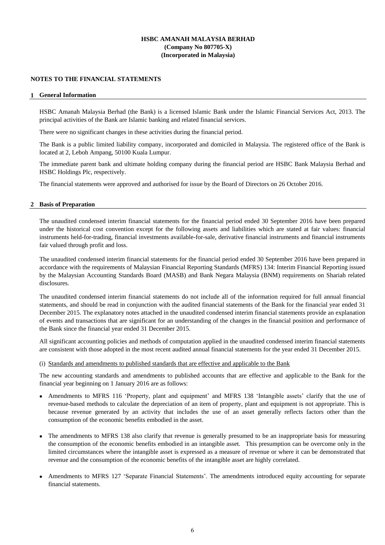### **NOTES TO THE FINANCIAL STATEMENTS**

#### **1 General Information**

HSBC Amanah Malaysia Berhad (the Bank) is a licensed Islamic Bank under the Islamic Financial Services Act, 2013. The principal activities of the Bank are Islamic banking and related financial services.

There were no significant changes in these activities during the financial period.

The Bank is a public limited liability company, incorporated and domiciled in Malaysia. The registered office of the Bank is located at 2, Leboh Ampang, 50100 Kuala Lumpur.

The immediate parent bank and ultimate holding company during the financial period are HSBC Bank Malaysia Berhad and HSBC Holdings Plc, respectively.

The financial statements were approved and authorised for issue by the Board of Directors on 26 October 2016.

#### **2 Basis of Preparation**

The unaudited condensed interim financial statements for the financial period ended 30 September 2016 have been prepared under the historical cost convention except for the following assets and liabilities which are stated at fair values: financial instruments held-for-trading, financial investments available-for-sale, derivative financial instruments and financial instruments fair valued through profit and loss.

The unaudited condensed interim financial statements for the financial period ended 30 September 2016 have been prepared in accordance with the requirements of Malaysian Financial Reporting Standards (MFRS) 134: Interim Financial Reporting issued by the Malaysian Accounting Standards Board (MASB) and Bank Negara Malaysia (BNM) requirements on Shariah related disclosures.

The unaudited condensed interim financial statements do not include all of the information required for full annual financial statements, and should be read in conjunction with the audited financial statements of the Bank for the financial year ended 31 December 2015. The explanatory notes attached in the unaudited condensed interim financial statements provide an explanation of events and transactions that are significant for an understanding of the changes in the financial position and performance of the Bank since the financial year ended 31 December 2015.

All significant accounting policies and methods of computation applied in the unaudited condensed interim financial statements are consistent with those adopted in the most recent audited annual financial statements for the year ended 31 December 2015.

#### (i) Standards and amendments to published standards that are effective and applicable to the Bank

The new accounting standards and amendments to published accounts that are effective and applicable to the Bank for the financial year beginning on 1 January 2016 are as follows:

- Amendments to MFRS 116 'Property, plant and equipment' and MFRS 138 'Intangible assets' clarify that the use of revenue-based methods to calculate the depreciation of an item of property, plant and equipment is not appropriate. This is because revenue generated by an activity that includes the use of an asset generally reflects factors other than the consumption of the economic benefits embodied in the asset.
- The amendments to MFRS 138 also clarify that revenue is generally presumed to be an inappropriate basis for measuring the consumption of the economic benefits embodied in an intangible asset. This presumption can be overcome only in the limited circumstances where the intangible asset is expressed as a measure of revenue or where it can be demonstrated that revenue and the consumption of the economic benefits of the intangible asset are highly correlated.
- $\bullet$ Amendments to MFRS 127 ʻSeparate Financial Statements'. The amendments introduced equity accounting for separate financial statements.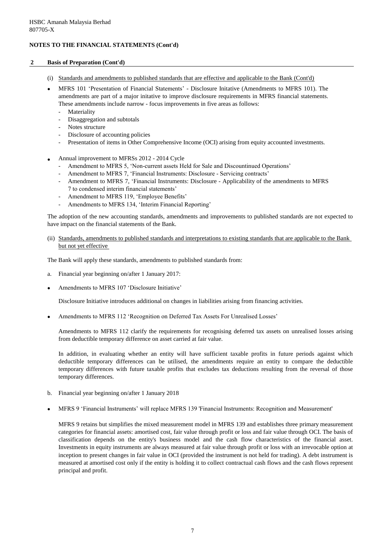### **2 Basis of Preparation (Cont'd)**

- (i) Standards and amendments to published standards that are effective and applicable to the Bank (Cont'd)
- MFRS 101 'Presentation of Financial Statements' Disclosure Initative (Amendments to MFRS 101). The amendments are part of a major initative to improve disclosure requirements in MFRS financial statements. These amendments include narrow - focus improvements in five areas as follows:
	- Materiality
	- Disaggregation and subtotals
	- Notes structure
	- Disclosure of accounting policies
	- Presentation of items in Other Comprehensive Income (OCI) arising from equity accounted investments.
- $\bullet$ Annual improvement to MFRSs 2012 - 2014 Cycle
	- Amendment to MFRS 5, ʻNon-current assets Held for Sale and Discountinued Operations'
	- Amendment to MFRS 7, ʻFinancial Instruments: Disclosure Servicing contracts'
	- Amendment to MFRS 7, ʻFinancial Instruments: Disclosure Applicability of the amendments to MFRS 7 to condensed interim financial statements'
	- Amendment to MFRS 119, ʻEmployee Benefits'
	- Amendments to MFRS 134, ʻInterim Financial Reporting'

The adoption of the new accounting standards, amendments and improvements to published standards are not expected to have impact on the financial statements of the Bank.

(ii) Standards, amendments to published standards and interpretations to existing standards that are applicable to the Bank but not yet effective

The Bank will apply these standards, amendments to published standards from:

- a. Financial year beginning on/after 1 January 2017:
- $\bullet$ Amendments to MFRS 107 'Disclosure Initiative'

Disclosure Initiative introduces additional on changes in liabilities arising from financing activities.

 $\bullet$ Amendments to MFRS 112 'Recognition on Deferred Tax Assets For Unrealised Losses'

Amendments to MFRS 112 clarify the requirements for recognising deferred tax assets on unrealised losses arising from deductible temporary difference on asset carried at fair value.

In addition, in evaluating whether an entity will have sufficient taxable profits in future periods against which deductible temporary differences can be utilised, the amendments require an entity to compare the deductible temporary differences with future taxable profits that excludes tax deductions resulting from the reversal of those temporary differences.

- b. Financial year beginning on/after 1 January 2018
- $\bullet$ MFRS 9 'Financial Instruments' will replace MFRS 139 'Financial Instruments: Recognition and Measurement'

MFRS 9 retains but simplifies the mixed measurement model in MFRS 139 and establishes three primary measurement categories for financial assets: amortised cost, fair value through profit or loss and fair value through OCI. The basis of classification depends on the entity's business model and the cash flow characteristics of the financial asset. Investments in equity instruments are always measured at fair value through profit or loss with an irrevocable option at inception to present changes in fair value in OCI (provided the instrument is not held for trading). A debt instrument is measured at amortised cost only if the entity is holding it to collect contractual cash flows and the cash flows represent principal and profit.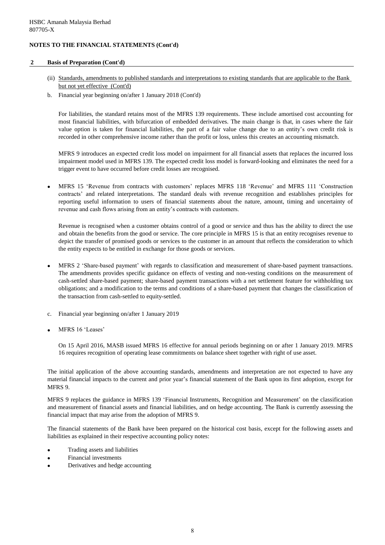#### **2 Basis of Preparation (Cont'd)**

- (ii) Standards, amendments to published standards and interpretations to existing standards that are applicable to the Bank but not yet effective (Cont'd)
- b. Financial year beginning on/after 1 January 2018 (Cont'd)

For liabilities, the standard retains most of the MFRS 139 requirements. These include amortised cost accounting for most financial liabilities, with bifurcation of embedded derivatives. The main change is that, in cases where the fair value option is taken for financial liabilities, the part of a fair value change due to an entity's own credit risk is recorded in other comprehensive income rather than the profit or loss, unless this creates an accounting mismatch.

MFRS 9 introduces an expected credit loss model on impairment for all financial assets that replaces the incurred loss impairment model used in MFRS 139. The expected credit loss model is forward-looking and eliminates the need for a trigger event to have occurred before credit losses are recognised.

 $\bullet$ MFRS 15 'Revenue from contracts with customers' replaces MFRS 118 'Revenue' and MFRS 111 'Construction contracts' and related interpretations. The standard deals with revenue recognition and establishes principles for reporting useful information to users of financial statements about the nature, amount, timing and uncertainty of revenue and cash flows arising from an entity's contracts with customers.

Revenue is recognised when a customer obtains control of a good or service and thus has the ability to direct the use and obtain the benefits from the good or service. The core principle in MFRS 15 is that an entity recognises revenue to depict the transfer of promised goods or services to the customer in an amount that reflects the consideration to which the entity expects to be entitled in exchange for those goods or services.

- $\bullet$ MFRS 2 'Share-based payment' with regards to classification and measurement of share-based payment transactions. The amendments provides specific guidance on effects of vesting and non-vesting conditions on the measurement of cash-settled share-based payment; share-based payment transactions with a net settlement feature for withholding tax obligations; and a modification to the terms and conditions of a share-based payment that changes the classification of the transaction from cash-settled to equity-settled.
- c. Financial year beginning on/after 1 January 2019
- $\bullet$ MFRS 16 'Leases'

On 15 April 2016, MASB issued MFRS 16 effective for annual periods beginning on or after 1 January 2019. MFRS 16 requires recognition of operating lease commitments on balance sheet together with right of use asset.

The initial application of the above accounting standards, amendments and interpretation are not expected to have any material financial impacts to the current and prior year's financial statement of the Bank upon its first adoption, except for MFRS 9.

MFRS 9 replaces the guidance in MFRS 139 'Financial Instruments, Recognition and Measurement' on the classification and measurement of financial assets and financial liabilities, and on hedge accounting. The Bank is currently assessing the financial impact that may arise from the adoption of MFRS 9.

The financial statements of the Bank have been prepared on the historical cost basis, except for the following assets and liabilities as explained in their respective accounting policy notes:

- Trading assets and liabilities
- Financial investments
- Derivatives and hedge accounting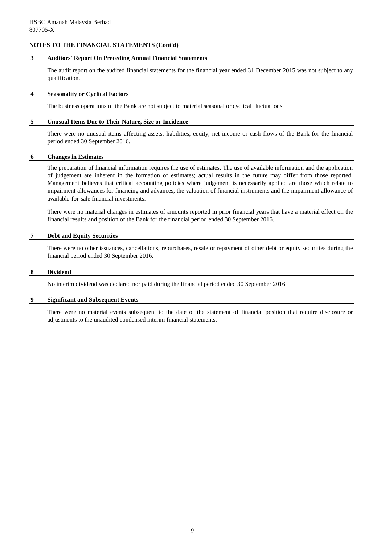#### **3 Auditors' Report On Preceding Annual Financial Statements**

The audit report on the audited financial statements for the financial year ended 31 December 2015 was not subject to any qualification.

#### **4 Seasonality or Cyclical Factors**

The business operations of the Bank are not subject to material seasonal or cyclical fluctuations.

#### **5 Unusual Items Due to Their Nature, Size or Incidence**

There were no unusual items affecting assets, liabilities, equity, net income or cash flows of the Bank for the financial period ended 30 September 2016.

#### **6 Changes in Estimates**

The preparation of financial information requires the use of estimates. The use of available information and the application of judgement are inherent in the formation of estimates; actual results in the future may differ from those reported. Management believes that critical accounting policies where judgement is necessarily applied are those which relate to impairment allowances for financing and advances, the valuation of financial instruments and the impairment allowance of available-for-sale financial investments.

There were no material changes in estimates of amounts reported in prior financial years that have a material effect on the financial results and position of the Bank for the financial period ended 30 September 2016.

#### **7 Debt and Equity Securities**

There were no other issuances, cancellations, repurchases, resale or repayment of other debt or equity securities during the financial period ended 30 September 2016.

#### **8 Dividend**

No interim dividend was declared nor paid during the financial period ended 30 September 2016.

#### **9 Significant and Subsequent Events**

There were no material events subsequent to the date of the statement of financial position that require disclosure or adjustments to the unaudited condensed interim financial statements.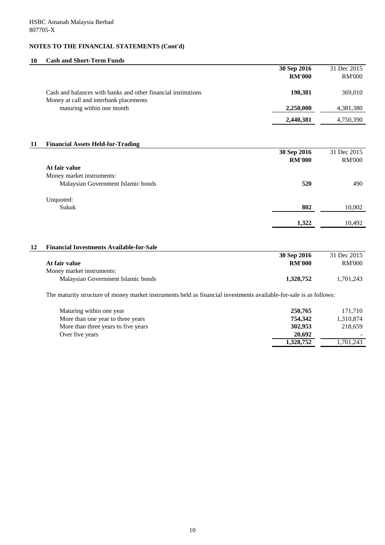# **10 Cash and Short-Term Funds**

|    |                                                                                                                    | 30 Sep 2016   | 31 Dec 2015   |
|----|--------------------------------------------------------------------------------------------------------------------|---------------|---------------|
|    |                                                                                                                    | <b>RM'000</b> | <b>RM'000</b> |
|    | Cash and balances with banks and other financial institutions<br>Money at call and interbank placements            | 190,381       | 369,010       |
|    | maturing within one month                                                                                          | 2,250,000     | 4,381,380     |
|    |                                                                                                                    | 2,440,381     | 4,750,390     |
|    |                                                                                                                    |               |               |
| 11 | <b>Financial Assets Held-for-Trading</b>                                                                           |               |               |
|    |                                                                                                                    | 30 Sep 2016   | 31 Dec 2015   |
|    |                                                                                                                    | <b>RM'000</b> | <b>RM'000</b> |
|    | At fair value                                                                                                      |               |               |
|    | Money market instruments:                                                                                          |               |               |
|    | Malaysian Government Islamic bonds                                                                                 | 520           | 490           |
|    | Unquoted:                                                                                                          |               |               |
|    | Sukuk                                                                                                              | 802           | 10,002        |
|    |                                                                                                                    | 1,322         | 10,492        |
|    |                                                                                                                    |               |               |
| 12 | <b>Financial Investments Available-for-Sale</b>                                                                    |               |               |
|    |                                                                                                                    | 30 Sep 2016   | 31 Dec 2015   |
|    | At fair value                                                                                                      | <b>RM'000</b> | <b>RM'000</b> |
|    | Money market instruments:                                                                                          |               |               |
|    | Malaysian Government Islamic bonds                                                                                 | 1,328,752     | 1,701,243     |
|    | The maturity structure of money market instruments held as financial investments available-for-sale is as follows: |               |               |
|    | Maturing within one year                                                                                           | 250,765       | 171,710       |
|    | More than one year to three years                                                                                  | 754,342       | 1,310,874     |
|    | More than three years to five years                                                                                | 302,953       | 218,659       |
|    | Over five years                                                                                                    | 20,692        |               |
|    |                                                                                                                    | 1,328,752     | 1,701,243     |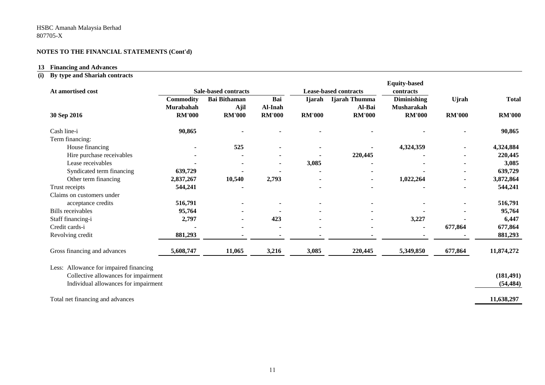#### **13 Financing and Advances**

#### **(i) By type and Shariah contracts**

| At amortised cost                      |                               | <b>Sale-based contracts</b> |                |               | <b>Lease-based contracts</b> | <b>Equity-based</b><br>contracts        |               |               |
|----------------------------------------|-------------------------------|-----------------------------|----------------|---------------|------------------------------|-----------------------------------------|---------------|---------------|
|                                        | <b>Commodity</b><br>Murabahah | <b>Bai Bithaman</b><br>Ajil | Bai<br>Al-Inah | <b>Ijarah</b> | Ijarah Thumma<br>Al-Bai      | <b>Diminishing</b><br><b>Musharakah</b> | <b>U</b> jrah | <b>Total</b>  |
| 30 Sep 2016                            | <b>RM'000</b>                 | <b>RM'000</b>               | <b>RM'000</b>  | <b>RM'000</b> | <b>RM'000</b>                | <b>RM'000</b>                           | <b>RM'000</b> | <b>RM'000</b> |
| Cash line-i                            | 90,865                        |                             |                |               |                              |                                         |               | 90,865        |
| Term financing:                        |                               |                             |                |               |                              |                                         |               |               |
| House financing                        |                               | 525                         |                |               |                              | 4,324,359                               |               | 4,324,884     |
| Hire purchase receivables              |                               |                             |                |               | 220,445                      |                                         |               | 220,445       |
| Lease receivables                      |                               |                             |                | 3,085         |                              |                                         |               | 3,085         |
| Syndicated term financing              | 639,729                       |                             |                |               |                              |                                         |               | 639,729       |
| Other term financing                   | 2,837,267                     | 10,540                      | 2,793          |               | $\blacksquare$               | 1,022,264                               |               | 3,872,864     |
| Trust receipts                         | 544,241                       |                             |                |               |                              |                                         |               | 544,241       |
| Claims on customers under              |                               |                             |                |               |                              |                                         |               |               |
| acceptance credits                     | 516,791                       |                             |                |               |                              |                                         |               | 516,791       |
| <b>Bills</b> receivables               | 95,764                        |                             |                |               |                              |                                         |               | 95,764        |
| Staff financing-i                      | 2,797                         |                             | 423            |               |                              | 3,227                                   |               | 6,447         |
| Credit cards-i                         |                               |                             |                |               |                              |                                         | 677,864       | 677,864       |
| Revolving credit                       | 881,293                       |                             |                |               |                              |                                         |               | 881,293       |
| Gross financing and advances           | 5,608,747                     | 11,065                      | 3,216          | 3,085         | 220,445                      | 5,349,850                               | 677,864       | 11,874,272    |
| Less: Allowance for impaired financing |                               |                             |                |               |                              |                                         |               |               |
| Collective allowances for impairment   |                               |                             |                |               |                              |                                         |               | (181, 491)    |
| Individual allowances for impairment   |                               |                             |                |               |                              |                                         |               | (54, 484)     |
|                                        |                               |                             |                |               |                              |                                         |               |               |
| Total net financing and advances       |                               |                             |                |               |                              |                                         |               | 11,638,297    |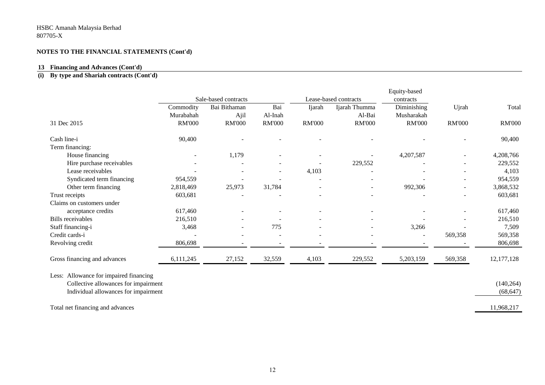#### **13 Financing and Advances (Cont'd)**

#### **(i) By type and Shariah contracts (Cont'd)**

|                                        |                            |                                      |                          |                          |                                        | Equity-based                |               |               |
|----------------------------------------|----------------------------|--------------------------------------|--------------------------|--------------------------|----------------------------------------|-----------------------------|---------------|---------------|
|                                        | Commodity                  | Sale-based contracts<br>Bai Bithaman | Bai                      | Ijarah                   | Lease-based contracts<br>Ijarah Thumma | contracts<br>Diminishing    | Ujrah         | Total         |
|                                        |                            |                                      |                          |                          | Al-Bai                                 |                             |               |               |
| 31 Dec 2015                            | Murabahah<br><b>RM'000</b> | Ajil<br><b>RM'000</b>                | Al-Inah<br><b>RM'000</b> | <b>RM'000</b>            | <b>RM'000</b>                          | Musharakah<br><b>RM'000</b> | <b>RM'000</b> | <b>RM'000</b> |
|                                        |                            |                                      |                          |                          |                                        |                             |               |               |
| Cash line-i                            | 90,400                     |                                      |                          |                          |                                        |                             |               | 90,400        |
| Term financing:                        |                            |                                      |                          |                          |                                        |                             |               |               |
| House financing                        |                            | 1,179                                |                          |                          |                                        | 4,207,587                   |               | 4,208,766     |
| Hire purchase receivables              |                            |                                      |                          |                          | 229,552                                |                             |               | 229,552       |
| Lease receivables                      |                            |                                      |                          | 4,103                    |                                        |                             |               | 4,103         |
| Syndicated term financing              | 954,559                    |                                      |                          | $\overline{\phantom{0}}$ |                                        |                             |               | 954,559       |
| Other term financing                   | 2,818,469                  | 25,973                               | 31,784                   |                          | $\overline{\phantom{a}}$               | 992,306                     |               | 3,868,532     |
| Trust receipts                         | 603,681                    |                                      |                          |                          |                                        |                             |               | 603,681       |
| Claims on customers under              |                            |                                      |                          |                          |                                        |                             |               |               |
| acceptance credits                     | 617,460                    |                                      |                          |                          |                                        |                             |               | 617,460       |
| <b>Bills</b> receivables               | 216,510                    |                                      |                          |                          |                                        |                             |               | 216,510       |
| Staff financing-i                      | 3,468                      |                                      | 775                      |                          |                                        | 3,266                       |               | 7,509         |
| Credit cards-i                         |                            |                                      |                          |                          |                                        | $\overline{\phantom{a}}$    | 569,358       | 569,358       |
| Revolving credit                       | 806,698                    |                                      |                          |                          |                                        |                             |               | 806,698       |
| Gross financing and advances           | 6,111,245                  | 27,152                               | 32,559                   | 4,103                    | 229,552                                | 5,203,159                   | 569,358       | 12, 177, 128  |
|                                        |                            |                                      |                          |                          |                                        |                             |               |               |
| Less: Allowance for impaired financing |                            |                                      |                          |                          |                                        |                             |               |               |
| Collective allowances for impairment   |                            |                                      |                          |                          |                                        |                             |               | (140, 264)    |
| Individual allowances for impairment   |                            |                                      |                          |                          |                                        |                             |               | (68, 647)     |
| Total net financing and advances       |                            |                                      |                          |                          |                                        |                             |               | 11,968,217    |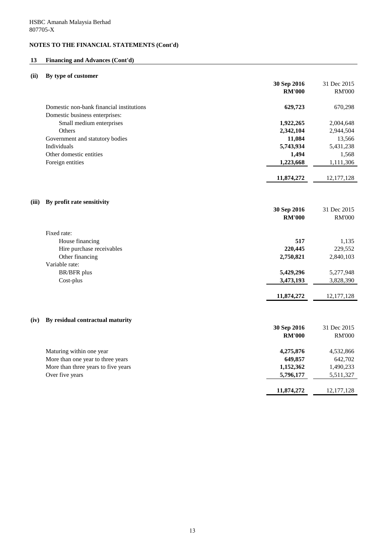# **13 Financing and Advances (Cont'd)**

### **(ii) By type of customer**

|       |                                          | 30 Sep 2016   | 31 Dec 2015   |
|-------|------------------------------------------|---------------|---------------|
|       |                                          | <b>RM'000</b> | <b>RM'000</b> |
|       | Domestic non-bank financial institutions | 629,723       | 670,298       |
|       | Domestic business enterprises:           |               |               |
|       | Small medium enterprises                 | 1,922,265     | 2,004,648     |
|       | Others                                   | 2,342,104     | 2,944,504     |
|       | Government and statutory bodies          | 11,084        | 13,566        |
|       | Individuals                              | 5,743,934     | 5,431,238     |
|       | Other domestic entities                  | 1,494         | 1,568         |
|       | Foreign entities                         | 1,223,668     | 1,111,306     |
|       |                                          | 11,874,272    | 12, 177, 128  |
| (iii) | By profit rate sensitivity               |               |               |
|       |                                          | 30 Sep 2016   | 31 Dec 2015   |
|       |                                          | <b>RM'000</b> | <b>RM'000</b> |
|       | Fixed rate:                              |               |               |
|       | House financing                          | 517           | 1,135         |
|       | Hire purchase receivables                | 220,445       | 229,552       |
|       | Other financing                          | 2,750,821     | 2,840,103     |
|       | Variable rate:<br><b>BR/BFR</b> plus     | 5,429,296     | 5,277,948     |
|       | Cost-plus                                | 3,473,193     | 3,828,390     |
|       |                                          |               |               |
|       |                                          | 11,874,272    | 12, 177, 128  |
| (iv)  | By residual contractual maturity         |               |               |
|       |                                          | 30 Sep 2016   | 31 Dec 2015   |
|       |                                          | <b>RM'000</b> | <b>RM'000</b> |
|       |                                          |               |               |
|       | Maturing within one year                 | 4,275,876     | 4,532,866     |
|       | More than one year to three years        | 649,857       | 642,702       |
|       | More than three years to five years      | 1,152,362     | 1,490,233     |
|       | Over five years                          | 5,796,177     | 5,511,327     |
|       |                                          | 11,874,272    | 12, 177, 128  |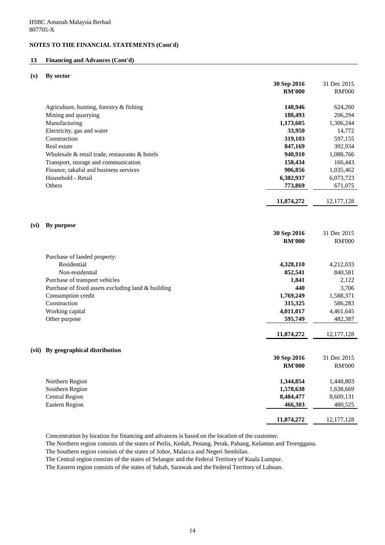### **13 Financing and Advances (Cont'd)**

#### **(v) By sector**

|       |                                                      | 30 Sep 2016   | 31 Dec 2015   |
|-------|------------------------------------------------------|---------------|---------------|
|       |                                                      | <b>RM'000</b> | <b>RM'000</b> |
|       |                                                      |               |               |
|       | Agriculture, hunting, forestry & fishing             | 148,946       | 624,260       |
|       | Mining and quarrying                                 | 188,493       | 206,294       |
|       | Manufacturing                                        | 1,173,605     | 1,306,244     |
|       | Electricity, gas and water                           | 33,950        | 14,772        |
|       | Construction                                         | 319,103       | 597,155       |
|       | Real estate                                          | 847,169       | 392,934       |
|       | Wholesale $\&$ retail trade, restaurants $\&$ hotels | 940,910       | 1,088,766     |
|       | Transport, storage and communication                 | 158,434       | 166,443       |
|       | Finance, takaful and business services               | 906,856       | 1,035,462     |
|       | Household - Retail                                   | 6,382,937     | 6,073,723     |
|       | Others                                               | 773,869       | 671,075       |
|       |                                                      |               |               |
|       |                                                      | 11,874,272    | 12, 177, 128  |
|       |                                                      |               |               |
|       |                                                      |               |               |
| (vi)  | By purpose                                           |               |               |
|       |                                                      | 30 Sep 2016   | 31 Dec 2015   |
|       |                                                      | <b>RM'000</b> | <b>RM'000</b> |
|       |                                                      |               |               |
|       | Purchase of landed property:                         |               |               |
|       | Residential                                          | 4,328,110     | 4,212,033     |
|       | Non-residential                                      | 852,541       | 840,581       |
|       | Purchase of transport vehicles                       | 1,841         | 2,122         |
|       | Purchase of fixed assets excluding land & building   | 440           | 3,706         |
|       | Consumption credit                                   | 1,769,249     | 1,588,371     |
|       | Construction                                         | 315,325       | 586,283       |
|       | Working capital                                      | 4,011,017     | 4,461,645     |
|       | Other purpose                                        | 595,749       | 482,387       |
|       |                                                      |               |               |
|       |                                                      | 11,874,272    | 12, 177, 128  |
|       |                                                      |               |               |
| (vii) | By geographical distribution                         |               |               |
|       |                                                      | 30 Sep 2016   | 31 Dec 2015   |
|       |                                                      | <b>RM'000</b> | <b>RM'000</b> |
|       |                                                      |               |               |
|       | Northern Region                                      | 1,344,854     | 1,448,803     |
|       | Southern Region                                      | 1,578,638     | 1,638,669     |
|       | <b>Central Region</b>                                | 8,484,477     | 8,609,131     |
|       | <b>Eastern Region</b>                                | 466,303       | 480,525       |
|       |                                                      |               |               |
|       |                                                      | 11,874,272    | 12, 177, 128  |

Concentration by location for financing and advances is based on the location of the customer.

The Northern region consists of the states of Perlis, Kedah, Penang, Perak, Pahang, Kelantan and Terengganu.

The Southern region consists of the states of Johor, Malacca and Negeri Sembilan.

The Central region consists of the states of Selangor and the Federal Territory of Kuala Lumpur.

The Eastern region consists of the states of Sabah, Sarawak and the Federal Territory of Labuan.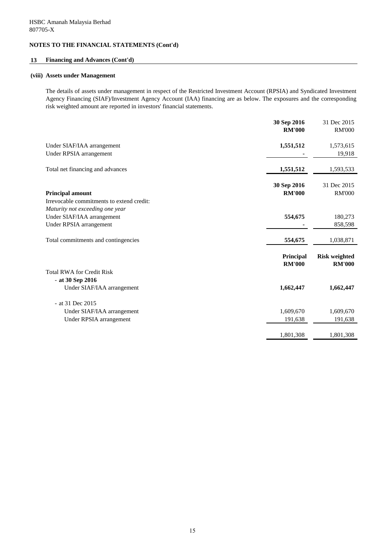### **13 Financing and Advances (Cont'd)**

#### **(viii) Assets under Management**

The details of assets under management in respect of the Restricted Investment Account (RPSIA) and Syndicated Investment Agency Financing (SIAF)/Investment Agency Account (IAA) financing are as below. The exposures and the corresponding risk weighted amount are reported in investors' financial statements.

|                                                                                          | 30 Sep 2016<br><b>RM'000</b> | 31 Dec 2015<br><b>RM'000</b>          |
|------------------------------------------------------------------------------------------|------------------------------|---------------------------------------|
| Under SIAF/IAA arrangement<br>Under RPSIA arrangement                                    | 1,551,512                    | 1,573,615<br>19,918                   |
| Total net financing and advances                                                         | 1,551,512                    | 1,593,533                             |
| <b>Principal amount</b><br>Irrevocable commitments to extend credit:                     | 30 Sep 2016<br><b>RM'000</b> | 31 Dec 2015<br><b>RM'000</b>          |
| Maturity not exceeding one year<br>Under SIAF/IAA arrangement<br>Under RPSIA arrangement | 554,675                      | 180,273<br>858,598                    |
| Total commitments and contingencies                                                      | 554,675                      | 1,038,871                             |
|                                                                                          | Principal<br><b>RM'000</b>   | <b>Risk weighted</b><br><b>RM'000</b> |
| <b>Total RWA for Credit Risk</b><br>$-$ at 30 Sep 2016                                   |                              |                                       |
| Under SIAF/IAA arrangement                                                               | 1,662,447                    | 1,662,447                             |
| - at 31 Dec 2015                                                                         |                              |                                       |
| Under SIAF/IAA arrangement                                                               | 1,609,670                    | 1,609,670                             |
| Under RPSIA arrangement                                                                  | 191,638                      | 191,638                               |
|                                                                                          | 1,801,308                    | 1,801,308                             |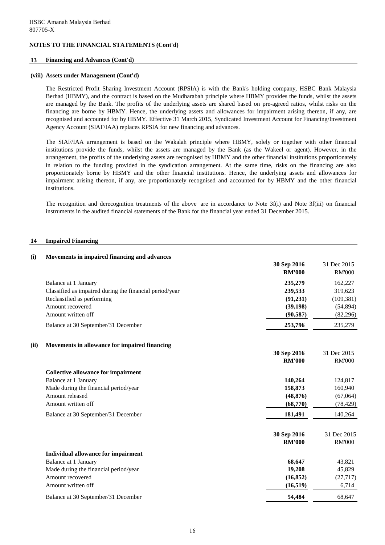### **13 Financing and Advances (Cont'd)**

#### **(viii) Assets under Management (Cont'd)**

The Restricted Profit Sharing Investment Account (RPSIA) is with the Bank's holding company, HSBC Bank Malaysia Berhad (HBMY), and the contract is based on the Mudharabah principle where HBMY provides the funds, whilst the assets are managed by the Bank. The profits of the underlying assets are shared based on pre-agreed ratios, whilst risks on the financing are borne by HBMY. Hence, the underlying assets and allowances for impairment arising thereon, if any, are recognised and accounted for by HBMY. Effective 31 March 2015, Syndicated Investment Account for Financing/Investment Agency Account (SIAF/IAA) replaces RPSIA for new financing and advances.

The SIAF/IAA arrangement is based on the Wakalah principle where HBMY, solely or together with other financial institutions provide the funds, whilst the assets are managed by the Bank (as the Wakeel or agent). However, in the arrangement, the profits of the underlying assets are recognised by HBMY and the other financial institutions proportionately in relation to the funding provided in the syndication arrangement. At the same time, risks on the financing are also proportionately borne by HBMY and the other financial institutions. Hence, the underlying assets and allowances for impairment arising thereon, if any, are proportionately recognised and accounted for by HBMY and the other financial institutions.

The recognition and derecognition treatments of the above are in accordance to Note 3f(i) and Note 3f(iii) on financial instruments in the audited financial statements of the Bank for the financial year ended 31 December 2015.

#### **14 Impaired Financing**

| (i)  | Movements in impaired financing and advances            |                              |                              |
|------|---------------------------------------------------------|------------------------------|------------------------------|
|      |                                                         | 30 Sep 2016<br><b>RM'000</b> | 31 Dec 2015<br><b>RM'000</b> |
|      | Balance at 1 January                                    | 235,279                      | 162,227                      |
|      | Classified as impaired during the financial period/year | 239,533                      | 319,623                      |
|      | Reclassified as performing                              | (91, 231)                    | (109, 381)                   |
|      | Amount recovered                                        | (39, 198)                    | (54, 894)                    |
|      | Amount written off                                      | (90, 587)                    | (82, 296)                    |
|      | Balance at 30 September/31 December                     | 253,796                      | 235,279                      |
| (ii) | Movements in allowance for impaired financing           |                              |                              |
|      |                                                         | 30 Sep 2016                  | 31 Dec 2015                  |
|      |                                                         | <b>RM'000</b>                | <b>RM'000</b>                |
|      | <b>Collective allowance for impairment</b>              |                              |                              |
|      | Balance at 1 January                                    | 140,264                      | 124,817                      |
|      | Made during the financial period/year                   | 158,873                      | 160,940                      |
|      | Amount released                                         | (48, 876)                    | (67,064)                     |
|      | Amount written off                                      | (68,770)                     | (78, 429)                    |
|      | Balance at 30 September/31 December                     | 181,491                      | 140,264                      |
|      |                                                         | 30 Sep 2016                  | 31 Dec 2015                  |
|      |                                                         | <b>RM'000</b>                | <b>RM'000</b>                |
|      | <b>Individual allowance for impairment</b>              |                              |                              |
|      | Balance at 1 January                                    | 68,647                       | 43,821                       |
|      | Made during the financial period/year                   | 19,208                       | 45,829                       |
|      | Amount recovered                                        | (16, 852)                    | (27, 717)                    |
|      | Amount written off                                      | (16, 519)                    | 6,714                        |
|      | Balance at 30 September/31 December                     | 54,484                       | 68,647                       |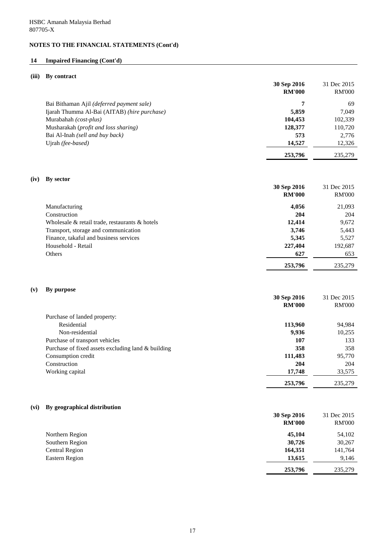### **14 Impaired Financing (Cont'd)**

### **(iii) By contract**

|      |                                              | 30 Sep 2016   | 31 Dec 2015   |
|------|----------------------------------------------|---------------|---------------|
|      |                                              | <b>RM'000</b> | <b>RM'000</b> |
|      | Bai Bithaman Ajil (deferred payment sale)    | 7             | 69            |
|      | Ijarah Thumma Al-Bai (AITAB) (hire purchase) | 5,859         | 7,049         |
|      | Murabahah (cost-plus)                        | 104,453       | 102,339       |
|      | Musharakah (profit and loss sharing)         | 128,377       | 110,720       |
|      | Bai Al-Inah (sell and buy back)              | 573           | 2,776         |
|      | Ujrah (fee-based)                            | 14,527        | 12,326        |
|      |                                              | 253,796       | 235,279       |
| (iv) | By sector                                    |               |               |
|      |                                              | 30 Sep 2016   | 31 Dec 2015   |
|      |                                              | RM'AAA        | RM'OOO        |

|                                                      | KM VVV  | KNI UUU |
|------------------------------------------------------|---------|---------|
| Manufacturing                                        | 4,056   | 21,093  |
| Construction                                         | 204     | 204     |
| Wholesale $\&$ retail trade, restaurants $\&$ hotels | 12,414  | 9,672   |
| Transport, storage and communication                 | 3,746   | 5,443   |
| Finance, takaful and business services               | 5,345   | 5,527   |
| Household - Retail                                   | 227,404 | 192,687 |
| Others                                               | 627     | 653     |
|                                                      | 253,796 | 235,279 |

#### **(v) By purpose**

|                                                    | 30 Sep 2016   | 31 Dec 2015   |
|----------------------------------------------------|---------------|---------------|
|                                                    | <b>RM'000</b> | <b>RM'000</b> |
| Purchase of landed property:                       |               |               |
| Residential                                        | 113,960       | 94,984        |
| Non-residential                                    | 9,936         | 10,255        |
| Purchase of transport vehicles                     | 107           | 133           |
| Purchase of fixed assets excluding land & building | 358           | 358           |
| Consumption credit                                 | 111,483       | 95,770        |
| Construction                                       | 204           | 204           |
| Working capital                                    | 17,748        | 33,575        |
|                                                    | 253,796       | 235,279       |

# **(vi) By geographical distribution**

|                       | 30 Sep 2016<br><b>RM'000</b> | 31 Dec 2015<br><b>RM'000</b> |
|-----------------------|------------------------------|------------------------------|
| Northern Region       | 45,104                       | 54,102                       |
| Southern Region       | 30,726                       | 30,267                       |
| <b>Central Region</b> | 164,351                      | 141,764                      |
| Eastern Region        | 13,615                       | 9,146                        |
|                       | 253,796                      | 235,279                      |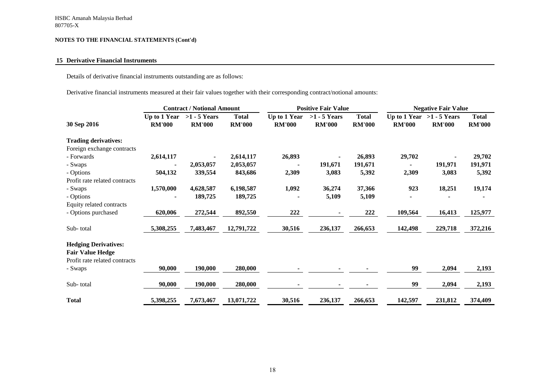### **15 Derivative Financial Instruments**

Details of derivative financial instruments outstanding are as follows:

Derivative financial instruments measured at their fair values together with their corresponding contract/notional amounts:

|                               | <b>Contract / Notional Amount</b> |                                 |                               | <b>Positive Fair Value</b>    |                                 |                               | <b>Negative Fair Value</b>                   |               |                               |
|-------------------------------|-----------------------------------|---------------------------------|-------------------------------|-------------------------------|---------------------------------|-------------------------------|----------------------------------------------|---------------|-------------------------------|
| 30 Sep 2016                   | Up to 1 Year<br><b>RM'000</b>     | $>1 - 5$ Years<br><b>RM'000</b> | <b>Total</b><br><b>RM'000</b> | Up to 1 Year<br><b>RM'000</b> | $>1 - 5$ Years<br><b>RM'000</b> | <b>Total</b><br><b>RM'000</b> | Up to 1 Year $>1$ - 5 Years<br><b>RM'000</b> | <b>RM'000</b> | <b>Total</b><br><b>RM'000</b> |
| <b>Trading derivatives:</b>   |                                   |                                 |                               |                               |                                 |                               |                                              |               |                               |
| Foreign exchange contracts    |                                   |                                 |                               |                               |                                 |                               |                                              |               |                               |
| - Forwards                    | 2,614,117                         |                                 | 2,614,117                     | 26,893                        |                                 | 26,893                        | 29,702                                       |               | 29,702                        |
| - Swaps                       |                                   | 2,053,057                       | 2,053,057                     |                               | 191,671                         | 191,671                       | $\blacksquare$                               | 191,971       | 191,971                       |
| - Options                     | 504,132                           | 339,554                         | 843,686                       | 2,309                         | 3,083                           | 5,392                         | 2,309                                        | 3,083         | 5,392                         |
| Profit rate related contracts |                                   |                                 |                               |                               |                                 |                               |                                              |               |                               |
| - Swaps                       | 1,570,000                         | 4,628,587                       | 6,198,587                     | 1,092                         | 36,274                          | 37,366                        | 923                                          | 18,251        | 19,174                        |
| - Options                     |                                   | 189,725                         | 189,725                       |                               | 5,109                           | 5,109                         | $\blacksquare$                               |               |                               |
| Equity related contracts      |                                   |                                 |                               |                               |                                 |                               |                                              |               |                               |
| - Options purchased           | 620,006                           | 272,544                         | 892,550                       | 222                           |                                 | 222                           | 109,564                                      | 16,413        | 125,977                       |
| Sub-total                     | 5,308,255                         | 7,483,467                       | 12,791,722                    | 30,516                        | 236,137                         | 266,653                       | 142,498                                      | 229,718       | 372,216                       |
| <b>Hedging Derivatives:</b>   |                                   |                                 |                               |                               |                                 |                               |                                              |               |                               |
| <b>Fair Value Hedge</b>       |                                   |                                 |                               |                               |                                 |                               |                                              |               |                               |
| Profit rate related contracts |                                   |                                 |                               |                               |                                 |                               |                                              |               |                               |
| - Swaps                       | 90,000                            | 190,000                         | 280,000                       |                               |                                 |                               | 99                                           | 2,094         | 2,193                         |
| Sub-total                     | 90,000                            | 190,000                         | 280,000                       |                               |                                 |                               | 99                                           | 2,094         | 2,193                         |
| <b>Total</b>                  | 5,398,255                         | 7,673,467                       | 13,071,722                    | 30,516                        | 236,137                         | 266,653                       | 142,597                                      | 231,812       | 374,409                       |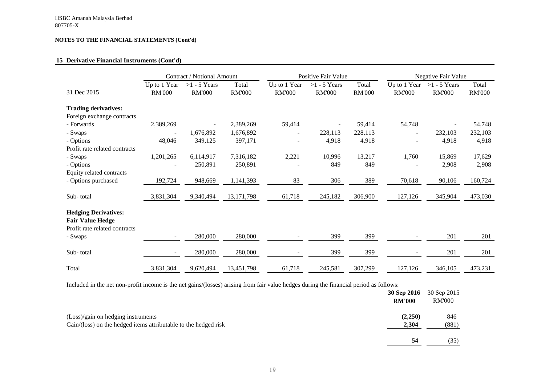### **15 Derivative Financial Instruments (Cont'd)**

|                                                                                         |                               | Contract / Notional Amount      |                        | <b>Positive Fair Value</b>    |                                 | <b>Negative Fair Value</b> |                               |                                 |                        |
|-----------------------------------------------------------------------------------------|-------------------------------|---------------------------------|------------------------|-------------------------------|---------------------------------|----------------------------|-------------------------------|---------------------------------|------------------------|
| 31 Dec 2015                                                                             | Up to 1 Year<br><b>RM'000</b> | $>1 - 5$ Years<br><b>RM'000</b> | Total<br><b>RM'000</b> | Up to 1 Year<br><b>RM'000</b> | $>1 - 5$ Years<br><b>RM'000</b> | Total<br><b>RM'000</b>     | Up to 1 Year<br><b>RM'000</b> | $>1 - 5$ Years<br><b>RM'000</b> | Total<br><b>RM'000</b> |
| <b>Trading derivatives:</b>                                                             |                               |                                 |                        |                               |                                 |                            |                               |                                 |                        |
| Foreign exchange contracts                                                              |                               |                                 |                        |                               |                                 |                            |                               |                                 |                        |
| - Forwards                                                                              | 2,389,269                     |                                 | 2,389,269              | 59,414                        |                                 | 59,414                     | 54,748                        |                                 | 54,748                 |
| - Swaps                                                                                 |                               | 1,676,892                       | 1,676,892              | $\overline{\phantom{0}}$      | 228,113                         | 228,113                    | $\overline{\phantom{a}}$      | 232,103                         | 232,103                |
| - Options                                                                               | 48,046                        | 349,125                         | 397,171                |                               | 4,918                           | 4,918                      |                               | 4,918                           | 4,918                  |
| Profit rate related contracts                                                           |                               |                                 |                        |                               |                                 |                            |                               |                                 |                        |
| - Swaps                                                                                 | 1,201,265                     | 6,114,917                       | 7,316,182              | 2,221                         | 10,996                          | 13,217                     | 1,760                         | 15,869                          | 17,629                 |
| - Options                                                                               |                               | 250,891                         | 250,891                |                               | 849                             | 849                        |                               | 2,908                           | 2,908                  |
| Equity related contracts                                                                |                               |                                 |                        |                               |                                 |                            |                               |                                 |                        |
| - Options purchased                                                                     | 192,724                       | 948,669                         | 1,141,393              | 83                            | 306                             | 389                        | 70,618                        | 90,106                          | 160,724                |
| Sub-total                                                                               | 3,831,304                     | 9,340,494                       | 13, 171, 798           | 61,718                        | 245,182                         | 306,900                    | 127,126                       | 345,904                         | 473,030                |
| <b>Hedging Derivatives:</b><br><b>Fair Value Hedge</b><br>Profit rate related contracts |                               |                                 |                        |                               |                                 |                            |                               |                                 |                        |
| - Swaps                                                                                 |                               | 280,000                         | 280,000                |                               | 399                             | 399                        |                               | 201                             | 201                    |
| Sub-total                                                                               |                               | 280,000                         | 280,000                |                               | 399                             | 399                        |                               | 201                             | 201                    |
| Total                                                                                   | 3,831,304                     | 9,620,494                       | 13,451,798             | 61,718                        | 245,581                         | 307,299                    | 127,126                       | 346,105                         | 473,231                |

Included in the net non-profit income is the net gains/(losses) arising from fair value hedges during the financial period as follows:

|                                                                                                       | 30 Sep 2016<br><b>RM'000</b> | 30 Sep 2015<br><b>RM'000</b> |
|-------------------------------------------------------------------------------------------------------|------------------------------|------------------------------|
| (Loss)/gain on hedging instruments<br>Gain/(loss) on the hedged items attributable to the hedged risk | (2,250)<br>2,304             | 846<br>(881)                 |
|                                                                                                       | 54                           | (35)                         |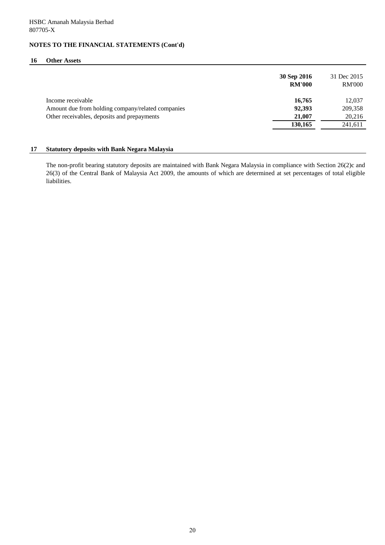#### **16 Other Assets**

|                                                   | 30 Sep 2016<br><b>RM'000</b> | 31 Dec 2015<br><b>RM'000</b> |
|---------------------------------------------------|------------------------------|------------------------------|
| Income receivable                                 | 16,765                       | 12,037                       |
| Amount due from holding company/related companies | 92,393                       | 209,358                      |
| Other receivables, deposits and prepayments       | 21,007                       | 20,216                       |
|                                                   | 130,165                      | 241,611                      |

### **17 Statutory deposits with Bank Negara Malaysia**

The non-profit bearing statutory deposits are maintained with Bank Negara Malaysia in compliance with Section 26(2)c and 26(3) of the Central Bank of Malaysia Act 2009, the amounts of which are determined at set percentages of total eligible liabilities.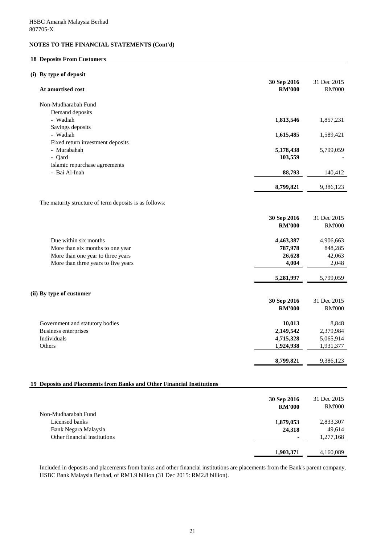### **18 Deposits From Customers**

#### **(i) By type of deposit**

| At amortised cost                                                      | 30 Sep 2016<br><b>RM'000</b> | 31 Dec 2015<br><b>RM'000</b> |
|------------------------------------------------------------------------|------------------------------|------------------------------|
| Non-Mudharabah Fund                                                    |                              |                              |
| Demand deposits                                                        |                              |                              |
| - Wadiah                                                               | 1,813,546                    | 1,857,231                    |
| Savings deposits                                                       |                              |                              |
| - Wadiah                                                               | 1,615,485                    | 1,589,421                    |
| Fixed return investment deposits                                       |                              |                              |
| - Murabahah                                                            | 5,178,438                    | 5,799,059                    |
| - Qard                                                                 | 103,559                      |                              |
| Islamic repurchase agreements                                          |                              |                              |
| - Bai Al-Inah                                                          | 88,793                       | 140,412                      |
|                                                                        | 8,799,821                    | 9,386,123                    |
| The maturity structure of term deposits is as follows:                 |                              |                              |
|                                                                        |                              |                              |
|                                                                        | 30 Sep 2016                  | 31 Dec 2015                  |
|                                                                        | <b>RM'000</b>                | <b>RM'000</b>                |
| Due within six months                                                  | 4,463,387                    | 4,906,663                    |
| More than six months to one year                                       | 787,978                      | 848,285                      |
| More than one year to three years                                      | 26,628                       | 42,063                       |
| More than three years to five years                                    | 4,004                        | 2,048                        |
|                                                                        | 5,281,997                    | 5,799,059                    |
| (ii) By type of customer                                               |                              |                              |
|                                                                        | 30 Sep 2016                  | 31 Dec 2015                  |
|                                                                        | <b>RM'000</b>                | <b>RM'000</b>                |
| Government and statutory bodies                                        | 10,013                       | 8,848                        |
| Business enterprises                                                   | 2,149,542                    | 2,379,984                    |
| Individuals                                                            | 4,715,328                    | 5,065,914                    |
| Others                                                                 | 1,924,938                    | 1,931,377                    |
|                                                                        | 8,799,821                    | 9,386,123                    |
| 19 Deposits and Placements from Banks and Other Financial Institutions |                              |                              |
|                                                                        | 30 Sep 2016<br><b>RM'000</b> | 31 Dec 2015<br><b>RM'000</b> |
|                                                                        |                              |                              |

|                              | <b>RM'000</b> | <b>RM'000</b> |
|------------------------------|---------------|---------------|
| Non-Mudharabah Fund          |               |               |
| Licensed banks               | 1,879,053     | 2,833,307     |
| Bank Negara Malaysia         | 24,318        | 49,614        |
| Other financial institutions |               | 1,277,168     |
|                              |               |               |
|                              | 1,903,371     | 4,160,089     |
|                              |               |               |

Included in deposits and placements from banks and other financial institutions are placements from the Bank's parent company, HSBC Bank Malaysia Berhad, of RM1.9 billion (31 Dec 2015: RM2.8 billion).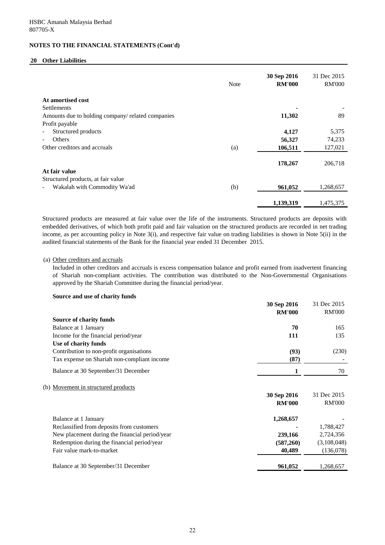#### **20 Other Liabilities**

|                                                   | <b>Note</b> | 30 Sep 2016<br><b>RM'000</b> | 31 Dec 2015<br><b>RM'000</b> |
|---------------------------------------------------|-------------|------------------------------|------------------------------|
| At amortised cost                                 |             |                              |                              |
| <b>Settlements</b>                                |             |                              |                              |
| Amounts due to holding company/ related companies |             | 11,302                       | 89                           |
| Profit payable                                    |             |                              |                              |
| Structured products                               |             | 4,127                        | 5,375                        |
| Others                                            |             | 56,327                       | 74,233                       |
| Other creditors and accruals                      | (a)         | 106,511                      | 127,021                      |
|                                                   |             | 178,267                      | 206,718                      |
| At fair value                                     |             |                              |                              |
| Structured products, at fair value                |             |                              |                              |
| Wakalah with Commodity Wa'ad                      | (b)         | 961,052                      | 1,268,657                    |
|                                                   |             | 1,139,319                    | 1,475,375                    |

Structured products are measured at fair value over the life of the instruments. Structured products are deposits with embedded derivatives, of which both profit paid and fair valuation on the structured products are recorded in net trading income, as per accounting policy in Note 3(i), and respective fair value on trading liabilities is shown in Note 5(ii) in the audited financial statements of the Bank for the financial year ended 31 December 2015.

#### (a) Other creditors and accruals

Included in other creditors and accruals is excess compensation balance and profit earned from inadvertent financing of Shariah non-compliant activities. The contribution was distributed to the Non-Governmental Organisations approved by the Shariah Committee during the financial period/year.

#### **Source and use of charity funds**

| 30 Sep 2016   | 31 Dec 2015         |
|---------------|---------------------|
|               | <b>RM'000</b>       |
|               |                     |
|               | 165                 |
| 111           | 135                 |
|               |                     |
| (93)          | (230)               |
| (87)          |                     |
| 1             | 70                  |
|               |                     |
| 30 Sep 2016   | 31 Dec 2015         |
| <b>RM'000</b> | <b>RM'000</b>       |
| 1,268,657     |                     |
|               | 1,788,427           |
| 239,166       | 2,724,356           |
| (587,260)     | (3,108,048)         |
| 40,489        | (136,078)           |
| 961,052       | 1,268,657           |
|               | <b>RM'000</b><br>70 |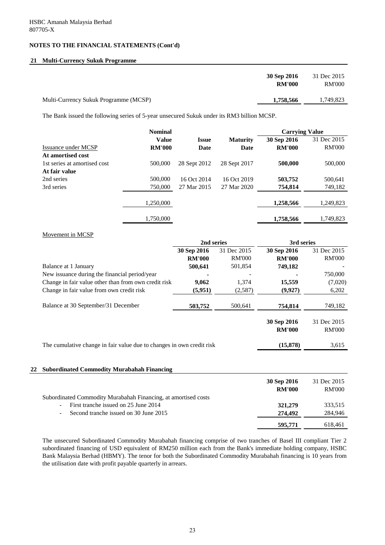### **21 Multi-Currency Sukuk Programme**

|                                       | 30 Sep 2016<br><b>RM'000</b> | 31 Dec 2015<br><b>RM'000</b> |
|---------------------------------------|------------------------------|------------------------------|
| Multi-Currency Sukuk Programme (MCSP) | 1,758,566                    | 1,749,823                    |

The Bank issued the following series of 5-year unsecured Sukuk under its RM3 billion MCSP.

|                              | <b>Nominal</b> |              |                 | <b>Carrying Value</b> |               |
|------------------------------|----------------|--------------|-----------------|-----------------------|---------------|
|                              | <b>Value</b>   | <b>Issue</b> | <b>Maturity</b> | 30 Sep 2016           | 31 Dec 2015   |
| Issuance under MCSP          | <b>RM'000</b>  | Date         | Date            | <b>RM'000</b>         | <b>RM'000</b> |
| At amortised cost            |                |              |                 |                       |               |
| 1st series at amortised cost | 500,000        | 28 Sept 2012 | 28 Sept 2017    | 500,000               | 500,000       |
| At fair value                |                |              |                 |                       |               |
| 2nd series                   | 500,000        | 16 Oct 2014  | 16 Oct 2019     | 503,752               | 500,641       |
| 3rd series                   | 750,000        | 27 Mar 2015  | 27 Mar 2020     | 754,814               | 749,182       |
|                              | 1,250,000      |              |                 | 1,258,566             | 1,249,823     |
|                              | 1,750,000      |              |                 | 1,758,566             | 1,749,823     |

#### Movement in MCSP

|                                                                       | 2nd series    |               | 3rd series                   |                              |
|-----------------------------------------------------------------------|---------------|---------------|------------------------------|------------------------------|
|                                                                       | 30 Sep 2016   | 31 Dec 2015   | 30 Sep 2016                  | 31 Dec 2015                  |
|                                                                       | <b>RM'000</b> | <b>RM'000</b> | <b>RM'000</b>                | <b>RM'000</b>                |
| Balance at 1 January                                                  | 500,641       | 501,854       | 749,182                      |                              |
| New issuance during the financial period/year                         |               |               |                              | 750,000                      |
| Change in fair value other than from own credit risk                  | 9,062         | 1,374         | 15,559                       | (7,020)                      |
| Change in fair value from own credit risk                             | (5,951)       | (2,587)       | (9,927)                      | 6,202                        |
| Balance at 30 September/31 December                                   | 503,752       | 500,641       | 754,814                      | 749,182                      |
|                                                                       |               |               | 30 Sep 2016<br><b>RM'000</b> | 31 Dec 2015<br><b>RM'000</b> |
| The cumulative change in fair value due to changes in own credit risk |               |               | (15,878)                     | 3,615                        |
|                                                                       |               |               |                              |                              |
| <b>Subordinated Commodity Murabahah Financing</b><br>22               |               |               |                              |                              |

|                                                                  | 30 Sep 2016<br><b>RM'000</b> | 31 Dec 2015<br><b>RM'000</b> |
|------------------------------------------------------------------|------------------------------|------------------------------|
| Subordinated Commodity Murabahah Financing, at amortised costs   |                              |                              |
| First tranche issued on 25 June 2014<br>$\overline{\phantom{a}}$ | 321,279                      | 333,515                      |
| Second tranche issued on 30 June 2015<br>$\sim$                  | 274,492                      | 284,946                      |
|                                                                  | 595,771                      | 618,461                      |

The unsecured Subordinated Commodity Murabahah financing comprise of two tranches of Basel III compliant Tier 2 subordinated financing of USD equivalent of RM250 million each from the Bank's immediate holding company, HSBC Bank Malaysia Berhad (HBMY). The tenor for both the Subordinated Commodity Murabahah financing is 10 years from the utilisation date with profit payable quarterly in arrears.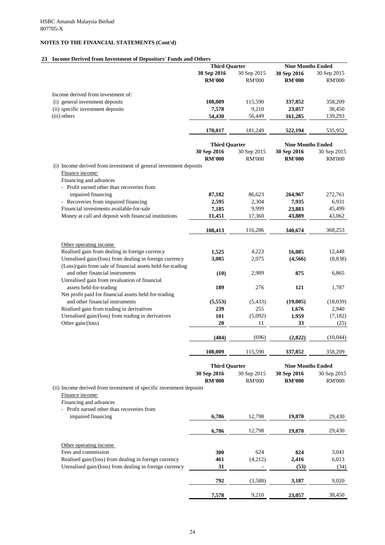### **23 Income Derived from Investment of Depositors' Funds and Others**

|                                                                                                                       | <b>Third Quarter</b> |               | <b>Nine Months Ended</b> |               |
|-----------------------------------------------------------------------------------------------------------------------|----------------------|---------------|--------------------------|---------------|
|                                                                                                                       | 30 Sep 2016          | 30 Sep 2015   | 30 Sep 2016              | 30 Sep 2015   |
|                                                                                                                       | <b>RM'000</b>        | <b>RM'000</b> | <b>RM'000</b>            | <b>RM'000</b> |
| Income derived from investment of:                                                                                    |                      |               |                          |               |
| (i) general investment deposits                                                                                       | 108,009              | 115,590       | 337,852                  | 358,209       |
| (ii) specific investment deposits                                                                                     | 7,578                | 9,210         | 23,057                   | 38,450        |
| (iii) others                                                                                                          | 54,430               | 56,449        | 161,285                  | 139,293       |
|                                                                                                                       | 170,017              | 181,249       | 522,194                  | 535,952       |
|                                                                                                                       | <b>Third Quarter</b> |               | <b>Nine Months Ended</b> |               |
|                                                                                                                       | 30 Sep 2016          | 30 Sep 2015   | 30 Sep 2016              | 30 Sep 2015   |
|                                                                                                                       | <b>RM'000</b>        | <b>RM'000</b> | <b>RM'000</b>            | <b>RM'000</b> |
| (i) Income derived from investment of general investment deposits<br>Finance income:<br>Financing and advances        |                      |               |                          |               |
| - Profit earned other than recoveries from                                                                            |                      |               |                          |               |
| impaired financing                                                                                                    | 87,182               | 86,623        | 264,967                  | 272,761       |
| - Recoveries from impaired financing                                                                                  | 2,595                | 2,304         | 7,935                    | 6,931         |
| Financial investments available-for-sale                                                                              | 7,185                | 9,999         | 23,883                   | 45,499        |
| Money at call and deposit with financial institutions                                                                 | 11,451               | 17,360        | 43,889                   | 43,062        |
|                                                                                                                       | 108,413              | 116,286       | 340,674                  | 368,253       |
| Other operating income                                                                                                |                      |               |                          |               |
| Realised gain from dealing in foreign currency                                                                        | 1,525                | 4,223         | 16,085                   | 12,448        |
| Unrealised gain/(loss) from dealing in foreign currency<br>(Loss)/gain from sale of financial assets held-for-trading | 3,085                | 2,075         | (4,566)                  | (8,838)       |
| and other financial instruments<br>Unrealised gain from revaluation of financial                                      | (10)                 | 2,989         | 875                      | 6,865         |
| assets held-for-trading                                                                                               | 189                  | 276           | 121                      | 1,787         |
| Net profit paid for financial assets held-for-trading<br>and other financial instruments                              | (5,553)              | (5, 433)      | (19,005)                 | (18,039)      |
| Realised gain from trading in derivatives                                                                             | 239                  | 255           | 1,676                    | 2,940         |
| Unrealised gain/(loss) from trading in derivatives                                                                    | 101                  | (5,092)       | 1,959                    | (7,182)       |
| Other gain/(loss)                                                                                                     | 20                   | 11            | 33                       | (25)          |
|                                                                                                                       | (404)                | (696)         | (2,822)                  | (10,044)      |
|                                                                                                                       | 108,009              | 115,590       | 337,852                  | 358,209       |
|                                                                                                                       | <b>Third Quarter</b> |               | <b>Nine Months Ended</b> |               |
|                                                                                                                       | 30 Sep 2016          | 30 Sep 2015   | 30 Sep 2016              | 30 Sep 2015   |
|                                                                                                                       | <b>RM'000</b>        | <b>RM'000</b> | <b>RM'000</b>            | <b>RM'000</b> |
| (ii) Income derived from investment of specific investment deposits                                                   |                      |               |                          |               |
| Finance income:                                                                                                       |                      |               |                          |               |
| Financing and advances                                                                                                |                      |               |                          |               |
| Profit earned other than recoveries from                                                                              |                      |               |                          |               |
| impaired financing                                                                                                    | 6,786                | 12,798        | 19,870                   | 29,430        |

|                                                         | 6,786 | 12,798                   | 19,870 | 29,430 |
|---------------------------------------------------------|-------|--------------------------|--------|--------|
| Other operating income                                  |       |                          |        |        |
| Fees and commission                                     | 300   | 624                      | 824    | 3,041  |
| Realised gain/(loss) from dealing in foreign currency   | 461   | (4,212)                  | 2,416  | 6,013  |
| Unrealised gain/(loss) from dealing in foreign currency | 31    | $\overline{\phantom{a}}$ | (53)   | (34)   |
|                                                         | 792   | (3,588)                  | 3,187  | 9,020  |
|                                                         | 7,578 | 9,210                    | 23,057 | 38,450 |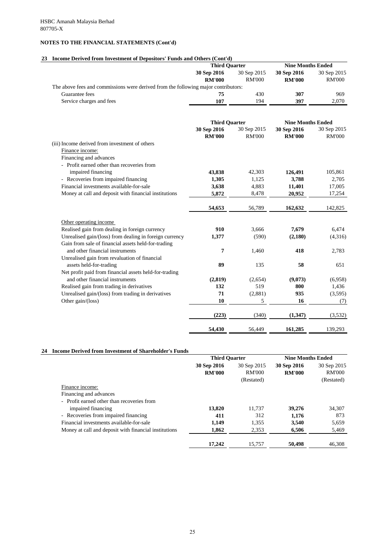# **23 Income Derived from Investment of Depositors' Funds and Others (Cont'd)**

| Income Derived from Investment of Depositors' Funds and Others (Come a)            | <b>Third Quarter</b> |               | <b>Nine Months Ended</b> |               |
|------------------------------------------------------------------------------------|----------------------|---------------|--------------------------|---------------|
|                                                                                    | 30 Sep 2016          | 30 Sep 2015   | 30 Sep 2016              | 30 Sep 2015   |
|                                                                                    | <b>RM'000</b>        | <b>RM'000</b> | <b>RM'000</b>            | <b>RM'000</b> |
| The above fees and commissions were derived from the following major contributors: |                      |               |                          |               |
| Guarantee fees                                                                     | 75                   | 430           | 307                      | 969           |
| Service charges and fees                                                           | 107                  | 194           | 397                      | 2,070         |
|                                                                                    |                      |               |                          |               |
|                                                                                    | <b>Third Quarter</b> |               | <b>Nine Months Ended</b> |               |
|                                                                                    | 30 Sep 2016          | 30 Sep 2015   | 30 Sep 2016              | 30 Sep 2015   |
|                                                                                    | <b>RM'000</b>        | <b>RM'000</b> | <b>RM'000</b>            | <b>RM'000</b> |
| (iii) Income derived from investment of others                                     |                      |               |                          |               |
| Finance income:                                                                    |                      |               |                          |               |
| Financing and advances<br>- Profit earned other than recoveries from               |                      |               |                          |               |
| impaired financing                                                                 | 43,838               | 42,303        | 126,491                  | 105,861       |
| Recoveries from impaired financing                                                 | 1,305                | 1,125         | 3,788                    | 2,705         |
| Financial investments available-for-sale                                           | 3,638                | 4,883         | 11,401                   | 17,005        |
| Money at call and deposit with financial institutions                              | 5,872                | 8,478         | 20,952                   | 17,254        |
|                                                                                    |                      |               |                          |               |
|                                                                                    | 54,653               | 56,789        | 162,632                  | 142,825       |
| Other operating income                                                             |                      |               |                          |               |
| Realised gain from dealing in foreign currency                                     | 910                  | 3,666         | 7,679                    | 6,474         |
| Unrealised gain/(loss) from dealing in foreign currency                            | 1,377                | (590)         | (2,180)                  | (4,316)       |
| Gain from sale of financial assets held-for-trading                                |                      |               |                          |               |
| and other financial instruments                                                    | 7                    | 1,460         | 418                      | 2,783         |
| Unrealised gain from revaluation of financial<br>assets held-for-trading           | 89                   | 135           | 58                       | 651           |
| Net profit paid from financial assets held-for-trading                             |                      |               |                          |               |
| and other financial instruments                                                    | (2, 819)             | (2,654)       | (9,073)                  | (6,958)       |
| Realised gain from trading in derivatives                                          | 132                  | 519           | 800                      | 1,436         |
| Unrealised gain/(loss) from trading in derivatives                                 | 71                   | (2,881)       | 935                      | (3,595)       |
| Other gain/(loss)                                                                  | <b>10</b>            | 5             | 16                       | (7)           |
|                                                                                    | (223)                | (340)         | (1, 347)                 | (3,532)       |
|                                                                                    | 54,430               | 56,449        | 161,285                  | 139,293       |

### **24 Income Derived from Investment of Shareholder's Funds**

|                                                       | <b>Third Quarter</b> |               | <b>Nine Months Ended</b> |               |
|-------------------------------------------------------|----------------------|---------------|--------------------------|---------------|
|                                                       | 30 Sep 2016          | 30 Sep 2015   | 30 Sep 2016              | 30 Sep 2015   |
|                                                       | <b>RM'000</b>        | <b>RM'000</b> | <b>RM'000</b>            | <b>RM'000</b> |
|                                                       |                      | (Restated)    |                          | (Restated)    |
| Finance income:                                       |                      |               |                          |               |
| Financing and advances                                |                      |               |                          |               |
| - Profit earned other than recoveries from            |                      |               |                          |               |
| impaired financing                                    | 13,820               | 11,737        | 39,276                   | 34,307        |
| - Recoveries from impaired financing                  | 411                  | 312           | 1,176                    | 873           |
| Financial investments available-for-sale              | 1,149                | 1,355         | 3,540                    | 5,659         |
| Money at call and deposit with financial institutions | 1,862                | 2,353         | 6,506                    | 5,469         |
|                                                       | 17,242               | 15,757        | 50,498                   | 46,308        |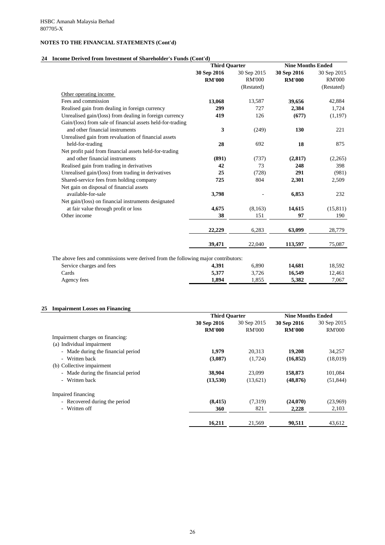### **24 Income Derived from Investment of Shareholder's Funds (Cont'd)**

|                                                                                    | <b>Third Quarter</b>         |                              | <b>Nine Months Ended</b>     |                              |
|------------------------------------------------------------------------------------|------------------------------|------------------------------|------------------------------|------------------------------|
|                                                                                    | 30 Sep 2016<br><b>RM'000</b> | 30 Sep 2015<br><b>RM'000</b> | 30 Sep 2016<br><b>RM'000</b> | 30 Sep 2015<br><b>RM'000</b> |
|                                                                                    |                              | (Restated)                   |                              | (Restated)                   |
| Other operating income                                                             |                              |                              |                              |                              |
| Fees and commission                                                                | 13,068                       | 13,587                       | 39,656                       | 42,884                       |
| Realised gain from dealing in foreign currency                                     | 299                          | 727                          | 2,384                        | 1,724                        |
| Unrealised gain/(loss) from dealing in foreign currency                            | 419                          | 126                          | (677)                        | (1,197)                      |
| Gain/(loss) from sale of financial assets held-for-trading                         |                              |                              |                              |                              |
| and other financial instruments                                                    | 3                            | (249)                        | 130                          | 221                          |
| Unrealised gain from revaluation of financial assets                               |                              |                              |                              |                              |
| held-for-trading                                                                   | 28                           | 692                          | 18                           | 875                          |
| Net profit paid from financial assets held-for-trading                             |                              |                              |                              |                              |
| and other financial instruments                                                    | (891)                        | (737)                        | (2,817)                      | (2,265)                      |
| Realised gain from trading in derivatives                                          | 42                           | 73                           | 248                          | 398                          |
| Unrealised gain/(loss) from trading in derivatives                                 | 25                           | (728)                        | 291                          | (981)                        |
| Shared-service fees from holding company                                           | 725                          | 804                          | 2,301                        | 2,509                        |
| Net gain on disposal of financial assets                                           |                              |                              |                              |                              |
| available-for-sale                                                                 | 3,798                        |                              | 6,853                        | 232                          |
| Net gain/(loss) on financial instruments designated                                |                              |                              |                              |                              |
| at fair value through profit or loss                                               | 4,675                        | (8,163)                      | 14,615                       | (15, 811)                    |
| Other income                                                                       | 38                           | 151                          | 97                           | 190                          |
|                                                                                    |                              |                              |                              |                              |
|                                                                                    | 22,229                       | 6,283                        | 63,099                       | 28,779                       |
|                                                                                    | 39,471                       | 22,040                       | 113,597                      | 75,087                       |
|                                                                                    |                              |                              |                              |                              |
| The above fees and commissions were derived from the following major contributors: |                              |                              |                              |                              |
| Service charges and fees                                                           | 4,391                        | 6,890                        | 14,681                       | 18,592                       |
| Cards                                                                              | 5,377                        | 3,726                        | 16,549                       | 12,461                       |
| Agency fees                                                                        | 1,894                        | 1,855                        | 5,382                        | 7,067                        |

### **25 Impairment Losses on Financing**

|                                    | <b>Third Quarter</b> |               | <b>Nine Months Ended</b> |               |
|------------------------------------|----------------------|---------------|--------------------------|---------------|
|                                    | 30 Sep 2016          | 30 Sep 2015   | 30 Sep 2016              | 30 Sep 2015   |
|                                    | <b>RM'000</b>        | <b>RM'000</b> | <b>RM'000</b>            | <b>RM'000</b> |
| Impairment charges on financing:   |                      |               |                          |               |
| (a) Individual impairment          |                      |               |                          |               |
| - Made during the financial period | 1,979                | 20,313        | 19,208                   | 34,257        |
| - Written back                     | (3,087)              | (1,724)       | (16, 852)                | (18,019)      |
| (b) Collective impairment          |                      |               |                          |               |
| - Made during the financial period | 38,904               | 23,099        | 158,873                  | 101,084       |
| - Written back                     | (13,530)             | (13,621)      | (48, 876)                | (51, 844)     |
| Impaired financing                 |                      |               |                          |               |
| - Recovered during the period      | (8, 415)             | (7,319)       | (24,070)                 | (23,969)      |
| - Written off                      | 360                  | 821           | 2,228                    | 2,103         |

**16,211** 21,569 90,511 43,612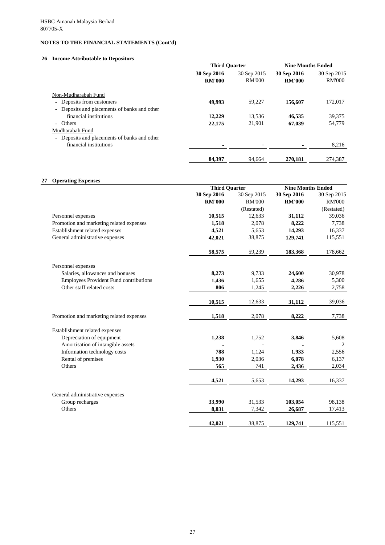### **26 Income Attributable to Depositors**

# **27 Operating Expenses**

|                                              | <b>Third Quarter</b> |               | <b>Nine Months Ended</b> |               |
|----------------------------------------------|----------------------|---------------|--------------------------|---------------|
|                                              | 30 Sep 2016          | 30 Sep 2015   | 30 Sep 2016              | 30 Sep 2015   |
|                                              | <b>RM'000</b>        | <b>RM'000</b> | <b>RM'000</b>            | <b>RM'000</b> |
| Non-Mudharabah Fund                          |                      |               |                          |               |
| Deposits from customers                      | 49,993               | 59,227        | 156,607                  | 172,017       |
| - Deposits and placements of banks and other |                      |               |                          |               |
| financial institutions                       | 12,229               | 13,536        | 46,535                   | 39,375        |
| - Others                                     | 22,175               | 21,901        | 67,039                   | 54,779        |
| Mudharabah Fund                              |                      |               |                          |               |
| - Deposits and placements of banks and other |                      |               |                          |               |
| financial institutions                       |                      |               |                          | 8,216         |
|                                              |                      |               |                          |               |
|                                              | 84,397               | 94,664        | 270,181                  | 274,387       |

|                                               | <b>Third Quarter</b> |               | <b>Nine Months Ended</b> |               |
|-----------------------------------------------|----------------------|---------------|--------------------------|---------------|
|                                               | 30 Sep 2016          | 30 Sep 2015   | 30 Sep 2016              | 30 Sep 2015   |
|                                               | <b>RM'000</b>        | <b>RM'000</b> | <b>RM'000</b>            | <b>RM'000</b> |
|                                               |                      | (Restated)    |                          | (Restated)    |
| Personnel expenses                            | 10,515               | 12,633        | 31,112                   | 39,036        |
| Promotion and marketing related expenses      | 1,518                | 2,078         | 8,222                    | 7,738         |
| Establishment related expenses                | 4,521                | 5,653         | 14,293                   | 16,337        |
| General administrative expenses               | 42,021               | 38,875        | 129,741                  | 115,551       |
|                                               | 58,575               | 59,239        | 183,368                  | 178,662       |
| Personnel expenses                            |                      |               |                          |               |
| Salaries, allowances and bonuses              | 8,273                | 9,733         | 24,600                   | 30,978        |
| <b>Employees Provident Fund contributions</b> | 1,436                | 1,655         | 4,286                    | 5,300         |
| Other staff related costs                     | 806                  | 1,245         | 2,226                    | 2,758         |
|                                               | 10,515               | 12,633        | 31,112                   | 39,036        |
| Promotion and marketing related expenses      | 1,518                | 2,078         | 8,222                    | 7,738         |
| Establishment related expenses                |                      |               |                          |               |
| Depreciation of equipment                     | 1,238                | 1,752         | 3,846                    | 5,608         |
| Amortisation of intangible assets             |                      |               |                          | 2             |
| Information technology costs                  | 788                  | 1,124         | 1,933                    | 2,556         |
| Rental of premises                            | 1,930                | 2,036         | 6,078                    | 6,137         |
| Others                                        | 565                  | 741           | 2,436                    | 2,034         |
|                                               | 4,521                | 5,653         | 14,293                   | 16,337        |
| General administrative expenses               |                      |               |                          |               |
| Group recharges                               | 33,990               | 31,533        | 103,054                  | 98,138        |
| Others                                        | 8,031                | 7,342         | 26,687                   | 17,413        |

 **42,021** 38,875 129,741 115,551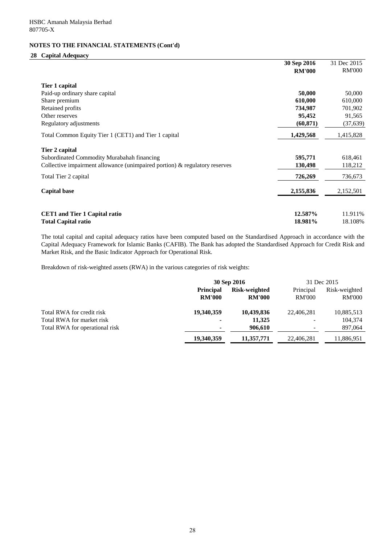#### **28 Capital Adequacy**

|                                                                            | 30 Sep 2016   | 31 Dec 2015   |
|----------------------------------------------------------------------------|---------------|---------------|
|                                                                            | <b>RM'000</b> | <b>RM'000</b> |
| Tier 1 capital                                                             |               |               |
| Paid-up ordinary share capital                                             | 50,000        | 50,000        |
| Share premium                                                              | 610,000       | 610,000       |
| Retained profits                                                           | 734,987       | 701,902       |
| Other reserves                                                             | 95,452        | 91,565        |
| Regulatory adjustments                                                     | (60, 871)     | (37, 639)     |
| Total Common Equity Tier 1 (CET1) and Tier 1 capital                       | 1,429,568     | 1,415,828     |
| Tier 2 capital                                                             |               |               |
| Subordinated Commodity Murabahah financing                                 | 595,771       | 618,461       |
| Collective impairment allowance (unimpaired portion) & regulatory reserves | 130,498       | 118,212       |
| Total Tier 2 capital                                                       | 726,269       | 736,673       |
| <b>Capital base</b>                                                        | 2,155,836     | 2,152,501     |
|                                                                            |               |               |
| <b>CET1</b> and Tier 1 Capital ratio                                       | 12.587%       | 11.911%       |
| <b>Total Capital ratio</b>                                                 | 18.981%       | 18.108%       |

The total capital and capital adequacy ratios have been computed based on the Standardised Approach in accordance with the Capital Adequacy Framework for Islamic Banks (CAFIB). The Bank has adopted the Standardised Approach for Credit Risk and Market Risk, and the Basic Indicator Approach for Operational Risk.

Breakdown of risk-weighted assets (RWA) in the various categories of risk weights:

|                                | 30 Sep 2016      |               | 31 Dec 2015              |               |
|--------------------------------|------------------|---------------|--------------------------|---------------|
|                                | <b>Principal</b> | Risk-weighted | Principal                | Risk-weighted |
|                                | <b>RM'000</b>    | <b>RM'000</b> | <b>RM'000</b>            | <b>RM'000</b> |
| Total RWA for credit risk      | 19,340,359       | 10,439,836    | 22,406,281               | 10,885,513    |
| Total RWA for market risk      | $\blacksquare$   | 11,325        |                          | 104,374       |
| Total RWA for operational risk | $\blacksquare$   | 906,610       | $\overline{\phantom{0}}$ | 897,064       |
|                                | 19,340,359       | 11,357,771    | 22,406,281               | 11,886,951    |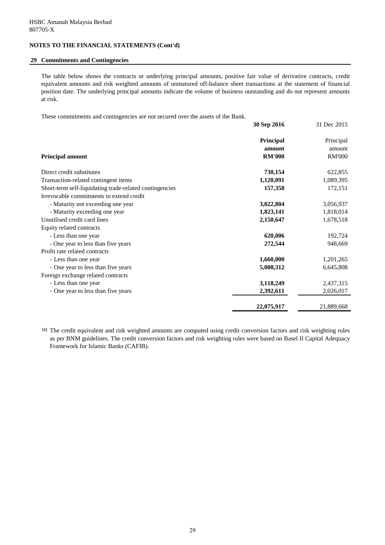#### **29 Commitments and Contingencies**

The table below shows the contracts or underlying principal amounts, positive fair value of derivative contracts, credit equivalent amounts and risk weighted amounts of unmatured off-balance sheet transactions at the statement of financial position date. The underlying principal amounts indicate the volume of business outstanding and do not represent amounts at risk.

These commitments and contingencies are not secured over the assets of the Bank.

|                                                         | 30 Sep 2016         | 31 Dec 2015         |
|---------------------------------------------------------|---------------------|---------------------|
|                                                         | Principal<br>amount | Principal<br>amount |
| <b>Principal amount</b>                                 | <b>RM'000</b>       | <b>RM'000</b>       |
| Direct credit substitutes                               | 730,154             | 622,855             |
| Transaction-related contingent items                    | 1,120,091           | 1,089,395           |
| Short-term self-liquidating trade-related contingencies | 157,358             | 172,151             |
| Irrevocable commitments to extend credit                |                     |                     |
| - Maturity not exceeding one year                       | 3,022,804           | 3,056,937           |
| - Maturity exceeding one year                           | 1,823,141           | 1,818,014           |
| Unutilised credit card lines                            | 2,150,647           | 1,678,518           |
| Equity related contracts                                |                     |                     |
| - Less than one year                                    | 620,006             | 192,724             |
| - One year to less than five years                      | 272,544             | 948,669             |
| Profit rate related contracts                           |                     |                     |
| - Less than one year                                    | 1,660,000           | 1,201,265           |
| - One year to less than five years                      | 5,008,312           | 6,645,808           |
| Foreign exchange related contracts                      |                     |                     |
| - Less than one year                                    | 3,118,249           | 2,437,315           |
| - One year to less than five years                      | 2,392,611           | 2,026,017           |
|                                                         | 22,075,917          | 21,889,668          |

**[1]** The credit equivalent and risk weighted amounts are computed using credit conversion factors and risk weighting rules as per BNM guidelines. The credit conversion factors and risk weighting rules were based on Basel II Capital Adequacy Framework for Islamic Banks (CAFIB).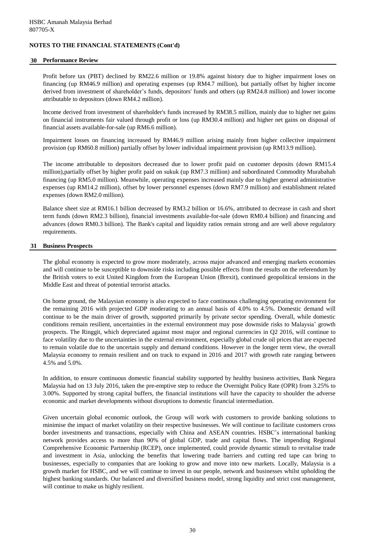#### **30 Performance Review**

Profit before tax (PBT) declined by RM22.6 million or 19.8% against history due to higher impairment loses on financing (up RM46.9 million) and operating expenses (up RM4.7 million), but partially offset by higher income derived from investment of shareholder's funds, depositors' funds and others (up RM24.8 million) and lower income attributable to depositors (down RM4.2 million).

Income derived from investment of shareholder's funds increased by RM38.5 million, mainly due to higher net gains on financial instruments fair valued through profit or loss (up RM30.4 million) and higher net gains on disposal of financial assets available-for-sale (up RM6.6 million).

Impairment losses on financing increased by RM46.9 million arising mainly from higher collective impairment provision (up RM60.8 million) partially offset by lower individual impairment provision (up RM13.9 million).

The income attributable to depositors decreased due to lower profit paid on customer deposits (down RM15.4 million),partially offset by higher profit paid on sukuk (up RM7.3 million) and subordinated Commodity Murabahah financing (up RM5.0 million). Meanwhile, operating expenses increased mainly due to higher general administrative expenses (up RM14.2 million), offset by lower personnel expenses (down RM7.9 million) and establishment related expenses (down RM2.0 million).

Balance sheet size at RM16.1 billion decreased by RM3.2 billion or 16.6%, attributed to decrease in cash and short term funds (down RM2.3 billion), financial investments available-for-sale (down RM0.4 billion) and financing and advances (down RM0.3 billion). The Bank's capital and liquidity ratios remain strong and are well above regulatory requirements.

#### **31 Business Prospects**

The global economy is expected to grow more moderately, across major advanced and emerging markets economies and will continue to be susceptible to downside risks including possible effects from the results on the referendum by the British voters to exit United Kingdom from the European Union (Brexit), continued geopolitical tensions in the Middle East and threat of potential terrorist attacks.

On home ground, the Malaysian economy is also expected to face continuous challenging operating environment for the remaining 2016 with projected GDP moderating to an annual basis of 4.0% to 4.5%. Domestic demand will continue to be the main driver of growth, supported primarily by private sector spending. Overall, while domestic conditions remain resilient, uncertainties in the external environment may pose downside risks to Malaysia' growth prospects. The Ringgit, which depreciated against most major and regional currencies in Q2 2016, will continue to face volatility due to the uncertainties in the external environment, especially global crude oil prices that are expected to remain volatile due to the uncertain supply and demand conditions. However in the longer term view, the overall Malaysia economy to remain resilient and on track to expand in 2016 and 2017 with growth rate ranging between 4.5% and 5.0%.

In addition, to ensure continuous domestic financial stability supported by healthy business activities, Bank Negara Malaysia had on 13 July 2016, taken the pre-emptive step to reduce the Overnight Policy Rate (OPR) from 3.25% to 3.00%. Supported by strong capital buffers, the financial institutions will have the capacity to shoulder the adverse economic and market developments without disruptions to domestic financial intermediation.

Given uncertain global economic outlook, the Group will work with customers to provide banking solutions to minimise the impact of market volatility on their respective businesses. We will continue to facilitate customers cross border investments and transactions, especially with China and ASEAN countries. HSBC's international banking network provides access to more than 90% of global GDP, trade and capital flows. The impending Regional Comprehensive Economic Partnership (RCEP), once implemented, could provide dynamic stimuli to revitalise trade and investment in Asia, unlocking the benefits that lowering trade barriers and cutting red tape can bring to businesses, especially to companies that are looking to grow and move into new markets. Locally, Malaysia is a growth market for HSBC, and we will continue to invest in our people, network and businesses whilst upholding the highest banking standards. Our balanced and diversified business model, strong liquidity and strict cost management, will continue to make us highly resilient.